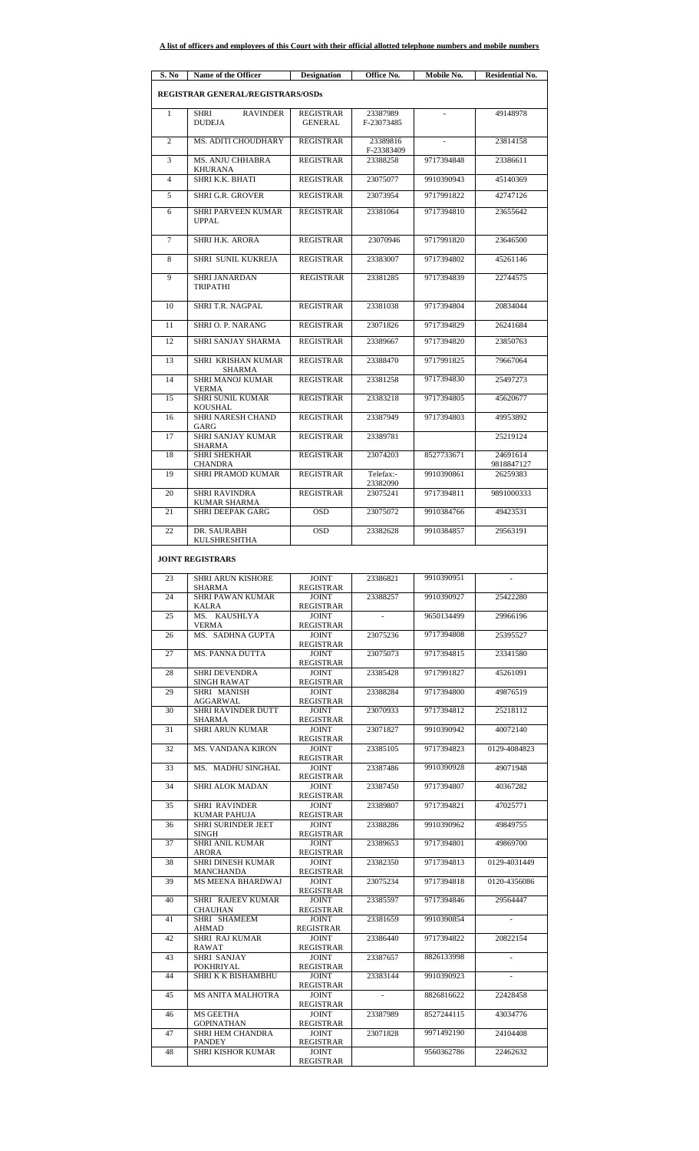| S. No          | Name of the Officer                             | <b>Designation</b>                     | Office No.             | Mobile No. | <b>Residential No.</b> |
|----------------|-------------------------------------------------|----------------------------------------|------------------------|------------|------------------------|
|                | <b>REGISTRAR GENERAL/REGISTRARS/OSDs</b>        |                                        |                        |            |                        |
| 1              | <b>SHRI</b><br><b>RAVINDER</b><br><b>DUDEJA</b> | <b>REGISTRAR</b><br><b>GENERAL</b>     | 23387989<br>F-23073485 |            | 49148978               |
| $\overline{c}$ | MS. ADITI CHOUDHARY                             | <b>REGISTRAR</b>                       | 23389816               |            | 23814158               |
| 3              | MS. ANJU CHHABRA                                | <b>REGISTRAR</b>                       | F-23383409<br>23388258 | 9717394848 | 23386611               |
| $\overline{4}$ | KHURANA<br>SHRI K.K. BHATI                      | <b>REGISTRAR</b>                       | 23075077               | 9910390943 | 45140369               |
| 5              | <b>SHRI G.R. GROVER</b>                         | <b>REGISTRAR</b>                       | 23073954               | 9717991822 | 42747126               |
| 6              | <b>SHRI PARVEEN KUMAR</b><br><b>UPPAL</b>       | <b>REGISTRAR</b>                       | 23381064               | 9717394810 | 23655642               |
| 7              | SHRI H.K. ARORA                                 | <b>REGISTRAR</b>                       | 23070946               | 9717991820 | 23646500               |
| 8              | SHRI SUNIL KUKREJA                              | <b>REGISTRAR</b>                       | 23383007               | 9717394802 | 45261146               |
| 9              | SHRI JANARDAN<br><b>TRIPATHI</b>                | <b>REGISTRAR</b>                       | 23381285               | 9717394839 | 22744575               |
| 10             | SHRI T.R. NAGPAL                                | <b>REGISTRAR</b>                       | 23381038               | 9717394804 | 20834044               |
| 11             | <b>SHRI O. P. NARANG</b>                        | <b>REGISTRAR</b>                       | 23071826               | 9717394829 | 26241684               |
| 12             | SHRI SANJAY SHARMA                              | <b>REGISTRAR</b>                       | 23389667               | 9717394820 | 23850763               |
| 13             | SHRI KRISHAN KUMAR<br>SHARMA                    | <b>REGISTRAR</b>                       | 23388470               | 9717991825 | 79667064               |
| 14             | <b>SHRI MANOJ KUMAR</b><br><b>VERMA</b>         | <b>REGISTRAR</b>                       | 23381258               | 9717394830 | 25497273               |
| 15             | SHRI SUNIL KUMAR<br>KOUSHAL                     | <b>REGISTRAR</b>                       | 23383218               | 9717394805 | 45620677               |
| 16             | SHRI NARESH CHAND<br>GARG                       | <b>REGISTRAR</b>                       | 23387949               | 9717394803 | 49953892               |
| 17             | <b>SHRI SANJAY KUMAR</b><br>SHARMA              | <b>REGISTRAR</b>                       | 23389781               |            | 25219124               |
| 18             | <b>SHRI SHEKHAR</b><br><b>CHANDRA</b>           | <b>REGISTRAR</b>                       | 23074203               | 8527733671 | 24691614<br>9818847127 |
| 19             | <b>SHRI PRAMOD KUMAR</b>                        | <b>REGISTRAR</b>                       | Telefax:-<br>23382090  | 9910390861 | 26259383               |
| 20             | <b>SHRI RAVINDRA</b>                            | <b>REGISTRAR</b>                       | 23075241               | 9717394811 | 9891000333             |
| 21             | KUMAR SHARMA<br><b>SHRI DEEPAK GARG</b>         | <b>OSD</b>                             | 23075072               | 9910384766 | 49423531               |
| 22             | DR. SAURABH                                     | <b>OSD</b>                             | 23382628               | 9910384857 | 29563191               |
|                | <b>KULSHRESHTHA</b><br><b>JOINT REGISTRARS</b>  |                                        |                        |            |                        |
| 23             | <b>SHRI ARUN KISHORE</b>                        | <b>JOINT</b>                           | 23386821               | 9910390951 |                        |
| 24             | SHARMA<br><b>SHRI PAWAN KUMAR</b>               | REGISTRAR<br><b>JOINT</b>              | 23388257               | 9910390927 | 25422280               |
| 25             | KALRA<br>MS. KAUSHLYA                           | REGISTRAR<br><b>JOINT</b>              |                        | 9650134499 | 29966196               |
| 26             | VERMA<br>MS. SADHNA GUPTA                       | REGISTRAR<br><b>JOINT</b><br>REGISTRAR | 23075236               | 9717394808 | 25395527               |
| 27             | <b>MS. PANNA DUTTA</b>                          | <b>IOINT</b><br>REGISTRAR              | 23075073               | 9717394815 | 23341580               |
| 28             | <b>SHRI DEVENDRA</b><br>SINGH RAWAT             | <b>JOINT</b><br><b>REGISTRAR</b>       | 23385428               | 9717991827 | 45261091               |
| 29             | SHRI MANISH<br>AGGARWAL                         | <b>JOINT</b><br>REGISTRAR              | 23388284               | 9717394800 | 49876519               |
| 30             | SHRI RAVINDER DUTT<br>SHARMA                    | <b>JOINT</b><br><b>REGISTRAR</b>       | 23070933               | 9717394812 | 25218112               |
| 31             | <b>SHRI ARUN KUMAR</b>                          | <b>JOINT</b><br><b>REGISTRAR</b>       | 23071827               | 9910390942 | 40072140               |
| 32             | <b>MS. VANDANA KIRON</b>                        | <b>JOINT</b>                           | 23385105               | 9717394823 | 0129-4084823           |
| 33             | MS. MADHU SINGHAL                               | <b>REGISTRAR</b><br><b>JOINT</b>       | 23387486               | 9910390928 | 49071948               |
| 34             | SHRI ALOK MADAN                                 | REGISTRAR<br><b>JOINT</b>              | 23387450               | 9717394807 | 40367282               |
| 35             | <b>SHRI RAVINDER</b>                            | REGISTRAR<br><b>JOINT</b>              | 23389807               | 9717394821 | 47025771               |
| 36             | KUMAR PAHUJA<br>SHRI SURINDER JEET              | REGISTRAR<br><b>JOINT</b>              | 23388286               | 9910390962 | 49849755               |
| 37             | SINGH<br>SHRI ANIL KUMAR                        | REGISTRAR<br><b>JOINT</b>              | 23389653               | 9717394801 | 49869700               |
| 38             | ARORA<br><b>SHRI DINESH KUMAR</b>               | REGISTRAR<br><b>JOINT</b>              | 23382350               | 9717394813 | 0129-4031449           |
| 39             | MANCHANDA<br>MS MEENA BHARDWAJ                  | REGISTRAR<br><b>JOINT</b>              | 23075234               | 9717394818 | 0120-4356086           |
| 40             | SHRI RAJEEV KUMAR                               | REGISTRAR<br><b>JOINT</b>              | 23385597               | 9717394846 | 29564447               |
| 41             | CHAUHAN<br>SHRI SHAMEEM                         | REGISTRAR<br><b>JOINT</b>              | 23381659               | 9910390854 | $\sim$                 |
| 42             | AHMAD<br>SHRI RAJ KUMAR                         | REGISTRAR<br><b>JOINT</b>              | 23386440               | 9717394822 | 20822154               |
| 43             | RAWAT<br>SHRI SANJAY                            | REGISTRAR<br><b>JOINT</b>              | 23387657               | 8826133998 |                        |
| 44             | POKHRIYAL<br>SHRI K K BISHAMBHU                 | <b>REGISTRAR</b><br><b>JOINT</b>       | 23383144               | 9910390923 | $\sim$                 |
| 45             | <b>MS ANITA MALHOTRA</b>                        | REGISTRAR<br><b>JOINT</b>              |                        | 8826816622 | 22428458               |
| 46             | MS GEETHA                                       | REGISTRAR<br><b>JOINT</b>              | 23387989               | 8527244115 | 43034776               |
| 47             | GOPINATHAN<br>SHRI HEM CHANDRA                  | <b>REGISTRAR</b><br><b>JOINT</b>       | 23071828               | 9971492190 | 24104408               |
| 48             | PANDEY<br><b>SHRI KISHOR KUMAR</b>              | REGISTRAR<br><b>JOINT</b><br>REGISTRAR |                        | 9560362786 | 22462632               |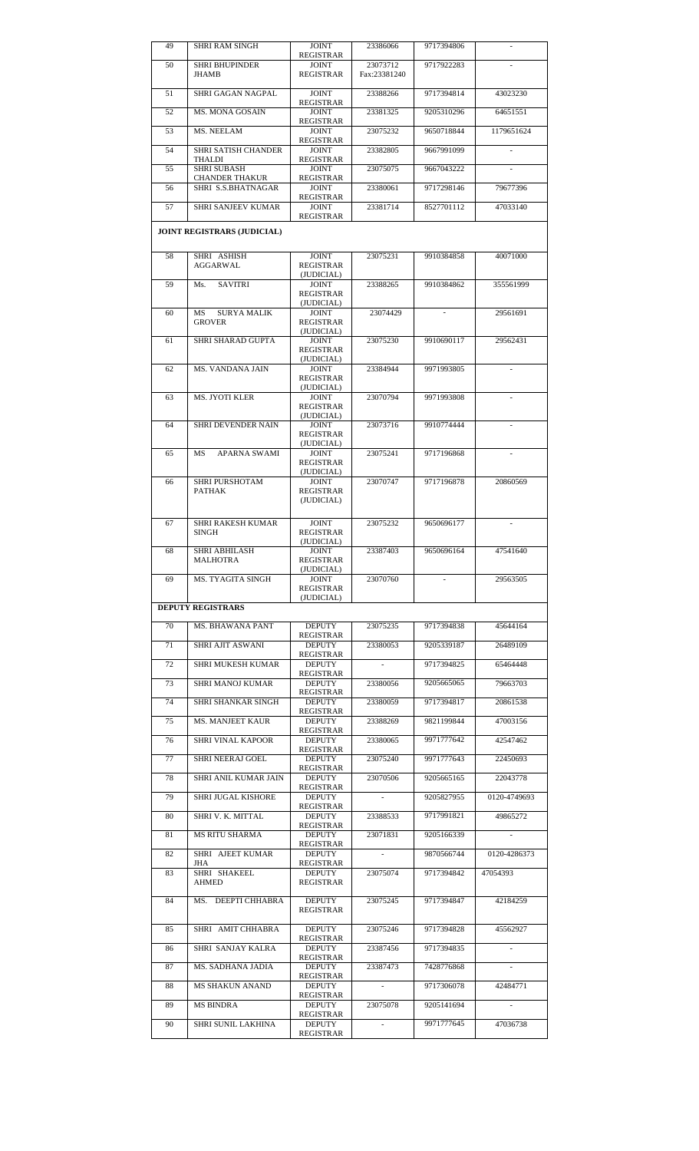| 49 | SHRI RAM SINGH                              | <b>JOINT</b><br><b>REGISTRAR</b>               | 23386066                 | 9717394806 |              |
|----|---------------------------------------------|------------------------------------------------|--------------------------|------------|--------------|
| 50 | <b>SHRI BHUPINDER</b><br>JHAMB              | <b>JOINT</b><br><b>REGISTRAR</b>               | 23073712<br>Fax:23381240 | 9717922283 |              |
| 51 | SHRI GAGAN NAGPAL                           | <b>JOINT</b><br><b>REGISTRAR</b>               | 23388266                 | 9717394814 | 43023230     |
| 52 | <b>MS. MONA GOSAIN</b>                      | <b>JOINT</b><br><b>REGISTRAR</b>               | 23381325                 | 9205310296 | 64651551     |
| 53 | MS. NEELAM                                  | <b>JOINT</b><br><b>REGISTRAR</b>               | 23075232                 | 9650718844 | 1179651624   |
| 54 | SHRI SATISH CHANDER<br>THALDI               | <b>JOINT</b>                                   | 23382805                 | 9667991099 |              |
| 55 | <b>SHRI SUBASH</b>                          | REGISTRAR<br><b>JOINT</b><br>REGISTRAR         | 23075075                 | 9667043222 |              |
| 56 | <b>CHANDER THAKUR</b><br>SHRI S.S.BHATNAGAR | <b>JOINT</b>                                   | 23380061                 | 9717298146 | 79677396     |
| 57 | SHRI SANJEEV KUMAR                          | REGISTRAR<br><b>JOINT</b><br><b>REGISTRAR</b>  | 23381714                 | 8527701112 | 47033140     |
|    | <b>JOINT REGISTRARS (JUDICIAL)</b>          |                                                |                          |            |              |
| 58 | SHRI ASHISH<br>AGGARWAL                     | <b>JOINT</b><br><b>REGISTRAR</b>               | 23075231                 | 9910384858 | 40071000     |
| 59 | <b>SAVITRI</b><br>Ms.                       | (JUDICIAL)<br><b>JOINT</b><br><b>REGISTRAR</b> | 23388265                 | 9910384862 | 355561999    |
| 60 | <b>SURYA MALIK</b><br>MS<br><b>GROVER</b>   | (JUDICIAL)<br><b>JOINT</b><br><b>REGISTRAR</b> | 23074429                 |            | 29561691     |
| 61 | SHRI SHARAD GUPTA                           | (JUDICIAL)<br><b>JOINT</b>                     | 23075230                 | 9910690117 | 29562431     |
|    |                                             | <b>REGISTRAR</b><br>(JUDICIAL)                 |                          |            |              |
| 62 | MS. VANDANA JAIN                            | <b>JOINT</b><br><b>REGISTRAR</b>               | 23384944                 | 9971993805 |              |
| 63 | <b>MS. JYOTI KLER</b>                       | (JUDICIAL)<br><b>JOINT</b>                     | 23070794                 | 9971993808 |              |
|    |                                             | REGISTRAR<br>(JUDICIAL)                        |                          |            |              |
| 64 | SHRI DEVENDER NAIN                          | <b>JOINT</b><br><b>REGISTRAR</b>               | 23073716                 | 9910774444 |              |
| 65 | APARNA SWAMI<br><b>MS</b>                   | (JUDICIAL)<br><b>JOINT</b>                     | 23075241                 | 9717196868 |              |
|    |                                             | <b>REGISTRAR</b><br>(JUDICIAL)                 |                          |            |              |
| 66 | SHRI PURSHOTAM<br><b>PATHAK</b>             | <b>JOINT</b><br><b>REGISTRAR</b><br>(JUDICIAL) | 23070747                 | 9717196878 | 20860569     |
| 67 | <b>SHRI RAKESH KUMAR</b><br><b>SINGH</b>    | <b>JOINT</b><br><b>REGISTRAR</b><br>(JUDICIAL) | 23075232                 | 9650696177 |              |
| 68 | SHRI ABHILASH<br>MALHOTRA                   | JOINT                                          | 23387403                 | 9650696164 | 47541640     |
|    | <b>MS. TYAGITA SINGH</b>                    | REGISTRAR<br>(JUDICIAL)<br>JOINT               | 23070760                 |            | 29563505     |
| 69 |                                             | REGISTRAR<br>(JUDICIAL)                        |                          |            |              |
|    | <b>DEPUTY REGISTRARS</b>                    |                                                |                          |            |              |
| 70 | MS. BHAWANA PANT                            | <b>DEPUTY</b><br>REGISTRAR                     | 23075235                 | 9717394838 | 45644164     |
| 71 | SHRI AJIT ASWANI                            | <b>DEPUTY</b><br><b>REGISTRAR</b>              | 23380053                 | 9205339187 | 26489109     |
| 72 | SHRI MUKESH KUMAR                           | <b>DEPUTY</b><br>REGISTRAR                     |                          | 9717394825 | 65464448     |
| 73 | SHRI MANOJ KUMAR                            | <b>DEPUTY</b><br>REGISTRAR                     | 23380056                 | 9205665065 | 79663703     |
| 74 | SHRI SHANKAR SINGH                          | <b>DEPUTY</b><br>REGISTRAR                     | 23380059                 | 9717394817 | 20861538     |
| 75 | <b>MS. MANJEET KAUR</b>                     | <b>DEPUTY</b><br><b>REGISTRAR</b>              | 23388269                 | 9821199844 | 47003156     |
| 76 | <b>SHRI VINAL KAPOOR</b>                    | <b>DEPUTY</b><br>REGISTRAR                     | 23380065                 | 9971777642 | 42547462     |
| 77 | SHRI NEERAJ GOEL                            | <b>DEPUTY</b><br><b>REGISTRAR</b>              | 23075240                 | 9971777643 | 22450693     |
| 78 | SHRI ANIL KUMAR JAIN                        | <b>DEPUTY</b><br>REGISTRAR                     | 23070506                 | 9205665165 | 22043778     |
| 79 | SHRI JUGAL KISHORE                          | <b>DEPUTY</b><br>REGISTRAR                     | $\sim 100$ km s $^{-1}$  | 9205827955 | 0120-4749693 |
| 80 | SHRI V. K. MITTAL                           | <b>DEPUTY</b><br>REGISTRAR                     | 23388533                 | 9717991821 | 49865272     |
| 81 | <b>MS RITU SHARMA</b>                       | <b>DEPUTY</b><br>REGISTRAR                     | 23071831                 | 9205166339 |              |
| 82 | SHRI AJEET KUMAR<br>JHA                     | <b>DEPUTY</b><br>REGISTRAR                     |                          | 9870566744 | 0120-4286373 |
| 83 | SHRI SHAKEEL<br>AHMED                       | <b>DEPUTY</b><br>REGISTRAR                     | 23075074                 | 9717394842 | 47054393     |
| 84 | MS. DEEPTI CHHABRA                          | DEPUTY<br>REGISTRAR                            | 23075245                 | 9717394847 | 42184259     |
| 85 | SHRI AMIT CHHABRA                           | <b>DEPUTY</b><br>REGISTRAR                     | 23075246                 | 9717394828 | 45562927     |
| 86 | SHRI SANJAY KALRA                           | <b>DEPUTY</b><br>REGISTRAR                     | 23387456                 | 9717394835 |              |
| 87 | MS. SADHANA JADIA                           | <b>DEPUTY</b><br>REGISTRAR                     | 23387473                 | 7428776868 |              |
| 88 | <b>MS SHAKUN ANAND</b>                      | <b>DEPUTY</b><br>REGISTRAR                     | $\sim$                   | 9717306078 | 42484771     |
| 89 | MS BINDRA                                   | <b>DEPUTY</b><br>REGISTRAR                     | 23075078                 | 9205141694 |              |
| 90 | SHRI SUNIL LAKHINA                          | <b>DEPUTY</b><br>REGISTRAR                     |                          | 9971777645 | 47036738     |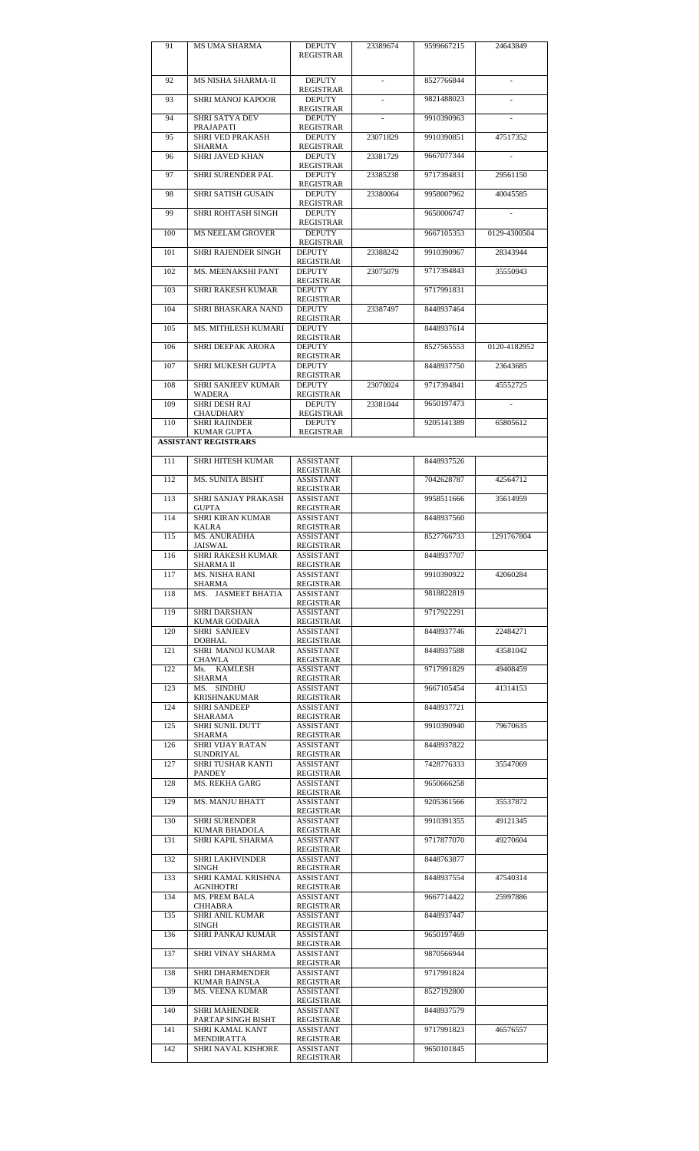| 91  | MS UMA SHARMA                                     | <b>DEPUTY</b><br>REGISTRAR           | 23389674 | 9599667215 | 24643849     |
|-----|---------------------------------------------------|--------------------------------------|----------|------------|--------------|
| 92  | MS NISHA SHARMA-II                                | <b>DEPUTY</b>                        | ×.       | 8527766844 | $\sim$       |
|     |                                                   | REGISTRAR                            |          |            |              |
| 93  | SHRI MANOJ KAPOOR                                 | <b>DEPUTY</b><br>REGISTRAR           |          | 9821488023 |              |
| 94  | SHRI SATYA DEV<br>PRAJAPATI                       | <b>DEPUTY</b><br>REGISTRAR           |          | 9910390963 |              |
| 95  | <b>SHRI VED PRAKASH</b><br>SHARMA                 | <b>DEPUTY</b><br>REGISTRAR           | 23071829 | 9910390851 | 47517352     |
| 96  | SHRI JAVED KHAN                                   | <b>DEPUTY</b>                        | 23381729 | 9667077344 |              |
| 97  | SHRI SURENDER PAL                                 | REGISTRAR<br><b>DEPUTY</b>           | 23385238 | 9717394831 | 29561150     |
| 98  | <b>SHRI SATISH GUSAIN</b>                         | <b>REGISTRAR</b><br><b>DEPUTY</b>    | 23380064 | 9958007962 | 40045585     |
| 99  | SHRI ROHTASH SINGH                                | REGISTRAR<br><b>DEPUTY</b>           |          | 9650006747 |              |
| 100 | <b>MS NEELAM GROVER</b>                           | REGISTRAR<br><b>DEPUTY</b>           |          | 9667105353 | 0129-4300504 |
| 101 | SHRI RAJENDER SINGH                               | REGISTRAR<br><b>DEPUTY</b>           | 23388242 | 9910390967 | 28343944     |
| 102 | MS. MEENAKSHI PANT                                | REGISTRAR<br><b>DEPUTY</b>           | 23075079 | 9717394843 | 35550943     |
|     |                                                   | REGISTRAR<br><b>DEPUTY</b>           |          |            |              |
| 103 | <b>SHRI RAKESH KUMAR</b>                          | REGISTRAR                            |          | 9717991831 |              |
| 104 | SHRI BHASKARA NAND                                | <b>DEPUTY</b><br>REGISTRAR           | 23387497 | 8448937464 |              |
| 105 | MS. MITHLESH KUMARI                               | <b>DEPUTY</b><br>REGISTRAR           |          | 8448937614 |              |
| 106 | <b>SHRI DEEPAK ARORA</b>                          | <b>DEPUTY</b><br><b>REGISTRAR</b>    |          | 8527565553 | 0120-4182952 |
| 107 | SHRI MUKESH GUPTA                                 | <b>DEPUTY</b><br>REGISTRAR           |          | 8448937750 | 23643685     |
| 108 | SHRI SANJEEV KUMAR<br>WADERA                      | <b>DEPUTY</b><br>REGISTRAR           | 23070024 | 9717394841 | 45552725     |
| 109 | SHRI DESH RAJ                                     | <b>DEPUTY</b>                        | 23381044 | 9650197473 |              |
| 110 | CHAUDHARY<br><b>SHRI RAJINDER</b>                 | REGISTRAR<br><b>DEPUTY</b>           |          | 9205141389 | 65805612     |
|     | <b>KUMAR GUPTA</b><br><b>ASSISTANT REGISTRARS</b> | <b>REGISTRAR</b>                     |          |            |              |
| 111 | <b>SHRI HITESH KUMAR</b>                          | <b>ASSISTANT</b>                     |          | 8448937526 |              |
| 112 | <b>MS. SUNITA BISHT</b>                           | REGISTRAR<br><b>ASSISTANT</b>        |          | 7042628787 | 42564712     |
| 113 | SHRI SANJAY PRAKASH                               | REGISTRAR<br><b>ASSISTANT</b>        |          | 9958511666 | 35614959     |
| 114 | <b>GUPTA</b><br><b>SHRI KIRAN KUMAR</b>           | <b>REGISTRAR</b><br><b>ASSISTANT</b> |          | 8448937560 |              |
|     | KALRA                                             | <b>REGISTRAR</b>                     |          |            |              |
| 115 | <b>MS. ANURADHA</b><br>JAISWAL                    | <b>ASSISTANT</b><br><b>REGISTRAR</b> |          | 8527766733 | 1291767804   |
| 116 | SHRI RAKESH KUMAR<br>SHARMA II                    | <b>ASSISTANT</b><br><b>REGISTRAR</b> |          | 8448937707 |              |
| 117 | <b>MS. NISHA RANI</b><br>SHARMA                   | <b>ASSISTANT</b><br><b>REGISTRAR</b> |          | 9910390922 | 42060284     |
| 118 | MS. JASMEET BHATIA                                | <b>ASSISTANT</b><br>REGISTRAR        |          | 9818822819 |              |
| 119 | <b>SHRI DARSHAN</b><br>KUMAR GODARA               | <b>ASSISTANT</b><br><b>REGISTRAR</b> |          | 9717922291 |              |
| 120 | SHRI SANJEEV<br><b>DOBHAL</b>                     | <b>ASSISTANT</b><br>REGISTRAR        |          | 8448937746 | 22484271     |
| 121 | <b>SHRI MANOJ KUMAR</b><br><b>CHAWLA</b>          | <b>ASSISTANT</b>                     |          | 8448937588 | 43581042     |
| 122 | Ms. KAMLESH                                       | REGISTRAR<br><b>ASSISTANT</b>        |          | 9717991829 | 49408459     |
| 123 | SHARMA<br>MS. SINDHU                              | REGISTRAR<br><b>ASSISTANT</b>        |          | 9667105454 | 41314153     |
| 124 | KRISHNAKUMAR<br><b>SHRI SANDEEP</b>               | <b>REGISTRAR</b><br><b>ASSISTANT</b> |          | 8448937721 |              |
| 125 | SHARAMA<br>SHRI SUNIL DUTT                        | REGISTRAR<br><b>ASSISTANT</b>        |          | 9910390940 | 79670635     |
| 126 | SHARMA<br><b>SHRI VIJAY RATAN</b>                 | REGISTRAR<br><b>ASSISTANT</b>        |          | 8448937822 |              |
| 127 | <b>SUNDRIYAL</b><br>SHRI TUSHAR KANTI             | <b>REGISTRAR</b><br><b>ASSISTANT</b> |          | 7428776333 | 35547069     |
| 128 | PANDEY<br><b>MS. REKHA GARG</b>                   | REGISTRAR<br><b>ASSISTANT</b>        |          | 9650666258 |              |
| 129 | <b>MS. MANJU BHATT</b>                            | REGISTRAR<br><b>ASSISTANT</b>        |          | 9205361566 | 35537872     |
|     |                                                   | REGISTRAR                            |          |            |              |
| 130 | <b>SHRI SURENDER</b><br>KUMAR BHADOLA             | <b>ASSISTANT</b><br>REGISTRAR        |          | 9910391355 | 49121345     |
| 131 | SHRI KAPIL SHARMA                                 | <b>ASSISTANT</b><br><b>REGISTRAR</b> |          | 9717877070 | 49270604     |
| 132 | <b>SHRI LAKHVINDER</b><br><b>SINGH</b>            | <b>ASSISTANT</b><br><b>REGISTRAR</b> |          | 8448763877 |              |
| 133 | SHRI KAMAL KRISHNA<br>AGNIHOTRI                   | <b>ASSISTANT</b><br>REGISTRAR        |          | 8448937554 | 47540314     |
| 134 | MS. PREM BALA<br>CHHABRA                          | <b>ASSISTANT</b><br>REGISTRAR        |          | 9667714422 | 25997886     |
| 135 | SHRI ANIL KUMAR<br><b>SINGH</b>                   | <b>ASSISTANT</b><br><b>REGISTRAR</b> |          | 8448937447 |              |
| 136 | SHRI PANKAJ KUMAR                                 | <b>ASSISTANT</b><br>REGISTRAR        |          | 9650197469 |              |
| 137 | SHRI VINAY SHARMA                                 | <b>ASSISTANT</b>                     |          | 9870566944 |              |
| 138 | <b>SHRI DHARMENDER</b>                            | REGISTRAR<br><b>ASSISTANT</b>        |          | 9717991824 |              |
| 139 | <b>KUMAR BAINSLA</b><br><b>MS. VEENA KUMAR</b>    | <b>REGISTRAR</b><br><b>ASSISTANT</b> |          | 8527192800 |              |
| 140 | <b>SHRI MAHENDER</b>                              | <b>REGISTRAR</b><br><b>ASSISTANT</b> |          | 8448937579 |              |
| 141 | PARTAP SINGH BISHT<br>SHRI KAMAL KANT             | <b>REGISTRAR</b><br><b>ASSISTANT</b> |          | 9717991823 | 46576557     |
| 142 | MENDIRATTA<br><b>SHRI NAVAL KISHORE</b>           | REGISTRAR<br><b>ASSISTANT</b>        |          | 9650101845 |              |
|     |                                                   | REGISTRAR                            |          |            |              |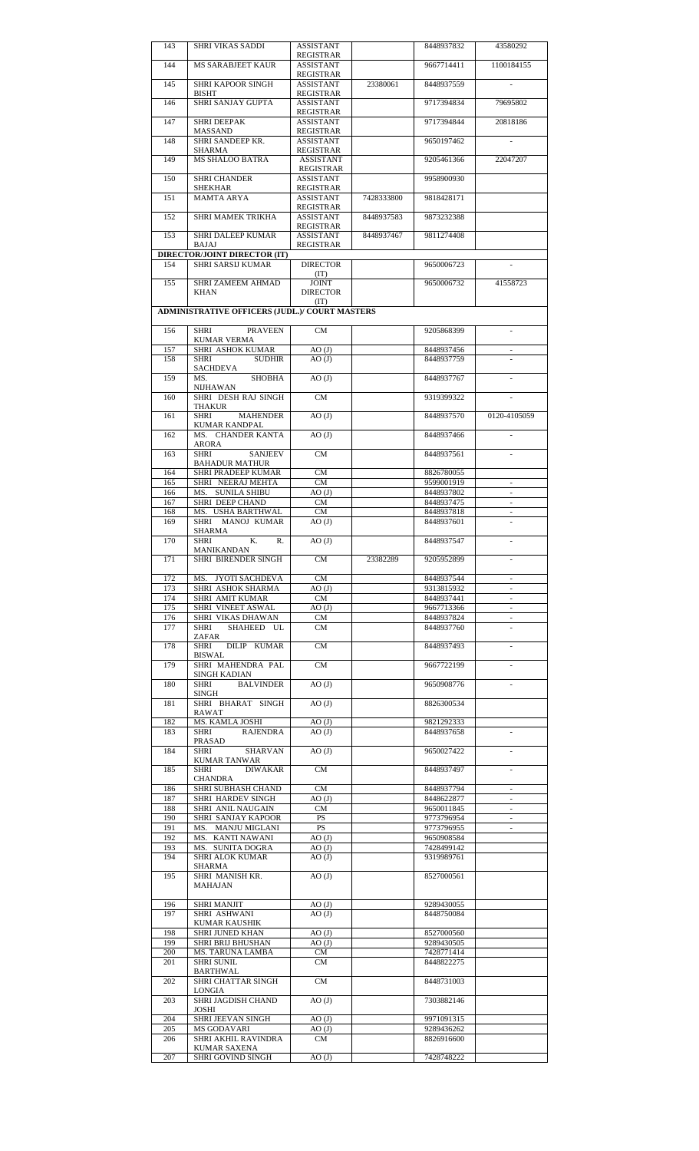| 143        | SHRI VIKAS SADDI                                         | ASSISTANT<br>REGISTRAR               |            | 8448937832               | 43580292                                             |
|------------|----------------------------------------------------------|--------------------------------------|------------|--------------------------|------------------------------------------------------|
| 144        | <b>MS SARABJEET KAUR</b>                                 | <b>ASSISTANT</b>                     |            | 9667714411               | 1100184155                                           |
| 145        | <b>SHRI KAPOOR SINGH</b>                                 | <b>REGISTRAR</b><br><b>ASSISTANT</b> | 23380061   | 8448937559               |                                                      |
|            | BISHT                                                    | REGISTRAR                            |            |                          |                                                      |
| 146        | SHRI SANJAY GUPTA                                        | <b>ASSISTANT</b><br>REGISTRAR        |            | 9717394834               | 79695802                                             |
| 147        | <b>SHRI DEEPAK</b>                                       | <b>ASSISTANT</b>                     |            | 9717394844               | 20818186                                             |
| 148        | MASSAND<br>SHRI SANDEEP KR.                              | <b>REGISTRAR</b><br><b>ASSISTANT</b> |            | 9650197462               |                                                      |
|            | SHARMA                                                   | REGISTRAR                            |            |                          |                                                      |
| 149        | <b>MS SHALOO BATRA</b>                                   | <b>ASSISTANT</b><br>REGISTRAR        |            | 9205461366               | 22047207                                             |
| 150        | <b>SHRI CHANDER</b>                                      | <b>ASSISTANT</b>                     |            | 9958900930               |                                                      |
|            | SHEKHAR<br>MAMTA ARYA                                    | REGISTRAR<br><b>ASSISTANT</b>        |            | 9818428171               |                                                      |
| 151        |                                                          | <b>REGISTRAR</b>                     | 7428333800 |                          |                                                      |
| 152        | SHRI MAMEK TRIKHA                                        | <b>ASSISTANT</b>                     | 8448937583 | 9873232388               |                                                      |
| 153        | <b>SHRI DALEEP KUMAR</b>                                 | <b>REGISTRAR</b><br><b>ASSISTANT</b> | 8448937467 | 9811274408               |                                                      |
|            | BAJAJ                                                    | <b>REGISTRAR</b>                     |            |                          |                                                      |
| 154        | <b>DIRECTOR/JOINT DIRECTOR (IT)</b><br>SHRI SARSIJ KUMAR | <b>DIRECTOR</b>                      |            | 9650006723               |                                                      |
| 155        | <b>SHRI ZAMEEM AHMAD</b>                                 | (TT)<br><b>JOINT</b>                 |            | 9650006732               | 41558723                                             |
|            | <b>KHAN</b>                                              | <b>DIRECTOR</b>                      |            |                          |                                                      |
|            | <b>ADMINISTRATIVE OFFICERS (JUDL.)/ COURT MASTERS</b>    | (IT)                                 |            |                          |                                                      |
|            |                                                          |                                      |            |                          |                                                      |
| 156        | PRAVEEN<br>SHRI                                          | CM                                   |            | 9205868399               |                                                      |
| 157        | <b>KUMAR VERMA</b><br>SHRI ASHOK KUMAR                   | AO(J)                                |            | 8448937456               | $\omega$                                             |
| 158        | SHRI<br><b>SUDHIR</b>                                    | AO(J)                                |            | 8448937759               |                                                      |
| 159        | SACHDEVA<br><b>SHOBHA</b><br>MS.                         | AO(J)                                |            | 8448937767               |                                                      |
|            | NIJHAWAN                                                 |                                      |            |                          |                                                      |
| 160        | SHRI DESH RAJ SINGH<br>THAKUR                            | CM                                   |            | 9319399322               |                                                      |
| 161        | SHRI<br><b>MAHENDER</b>                                  | AO(J)                                |            | 8448937570               | 0120-4105059                                         |
| 162        | KUMAR KANDPAL<br>MS. CHANDER KANTA                       | AO(J)                                |            | 8448937466               |                                                      |
|            | ARORA                                                    |                                      |            |                          |                                                      |
| 163        | <b>SANJEEV</b><br>SHRI<br><b>BAHADUR MATHUR</b>          | <b>CM</b>                            |            | 8448937561               |                                                      |
| 164        | <b>SHRI PRADEEP KUMAR</b>                                | CM                                   |            | 8826780055               |                                                      |
| 165<br>166 | SHRI NEERAJ MEHTA<br>MS. SUNILA SHIBU                    | CM<br>$AO$ (J)                       |            | 9599001919<br>8448937802 | $\omega$                                             |
| 167        | SHRI DEEP CHAND                                          | CM                                   |            | 8448937475               | $\overline{\phantom{a}}$                             |
| 168        | MS. USHA BARTHWAL                                        | <b>CM</b>                            |            | 8448937818               | $\overline{\phantom{a}}$                             |
| 169        | SHRI MANOJ KUMAR<br>SHARMA                               | AO(J)                                |            | 8448937601               |                                                      |
| 170        | K.<br><b>SHRI</b><br>R.                                  | AO(J)                                |            | 8448937547               | $\overline{\phantom{a}}$                             |
| 171        | MANIKANDAN<br>SHRI BIRENDER SINGH                        | CМ                                   | 23382289   | 9205952899               |                                                      |
|            |                                                          |                                      |            |                          |                                                      |
| 172<br>173 | MS.<br>JYOTI SACHDEVA<br>SHRI ASHOK SHARMA               | CM<br>$AO$ (J)                       |            | 8448937544<br>9313815932 | $\overline{\phantom{a}}$                             |
| 174        | SHRI AMIT KUMAR                                          | <b>CM</b>                            |            | 8448937441               |                                                      |
| 175<br>176 | SHRI VINEET ASWAL<br>SHRI VIKAS DHAWAN                   | AO(J)<br><b>CM</b>                   |            | 9667713366<br>8448937824 | $\overline{\phantom{a}}$                             |
| 177        | SHAHEED UL<br>SHRI                                       | CM                                   |            | 8448937760               | $\overline{\phantom{a}}$                             |
| 178        | ZAFAR<br>DILIP KUMAR<br><b>SHRI</b>                      | <b>CM</b>                            |            | 8448937493               | ä,                                                   |
|            | BISWAL                                                   |                                      |            |                          |                                                      |
| 179        | SHRI MAHENDRA PAL<br>SINGH KADIAN                        | <b>CM</b>                            |            | 9667722199               |                                                      |
| 180        | <b>BALVINDER</b><br>SHRI                                 | AO(J)                                |            | 9650908776               |                                                      |
| 181        | SINGH<br>SHRI BHARAT SINGH                               | AO(J)                                |            | 8826300534               |                                                      |
|            | RAWAT                                                    |                                      |            |                          |                                                      |
| 182<br>183 | MS. KAMLA JOSHI<br><b>SHRI</b>                           | AO(J)                                |            | 9821292333               |                                                      |
|            | <b>RAJENDRA</b><br>PRASAD                                | AO(J)                                |            | 8448937658               | $\sim$                                               |
| 184        | SHRI<br><b>SHARVAN</b>                                   | AO(J)                                |            | 9650027422               |                                                      |
| 185        | KUMAR TANWAR<br><b>DIWAKAR</b><br>SHRI                   | <b>CM</b>                            |            | 8448937497               |                                                      |
|            | CHANDRA                                                  |                                      |            |                          |                                                      |
| 186<br>187 | SHRI SUBHASH CHAND<br>SHRI HARDEV SINGH                  | <b>CM</b><br>AO(J)                   |            | 8448937794<br>8448622877 | $\overline{\phantom{a}}$<br>$\overline{\phantom{a}}$ |
| 188        | SHRI ANIL NAUGAIN                                        | <b>CM</b>                            |            | 9650011845               | $\omega$                                             |
| 190<br>191 | SHRI SANJAY KAPOOR<br>MS. MANJU MIGLANI                  | PS<br><b>PS</b>                      |            | 9773796954<br>9773796955 | $\overline{\phantom{a}}$                             |
| 192        | MS. KANTI NAWANI                                         | AO(J)                                |            | 9650908584               |                                                      |
| 193<br>194 | MS. SUNITA DOGRA<br><b>SHRI ALOK KUMAR</b>               | AO(J)<br>AO(J)                       |            | 7428499142<br>9319989761 |                                                      |
|            | SHARMA                                                   |                                      |            |                          |                                                      |
| 195        | SHRI MANISH KR.<br>MAHAJAN                               | AO(J)                                |            | 8527000561               |                                                      |
| 196        | <b>SHRI MANJIT</b>                                       | AO(J)                                |            | 9289430055               |                                                      |
| 197        | SHRI ASHWANI<br>KUMAR KAUSHIK                            | AO(J)                                |            | 8448750084               |                                                      |
| 198        | SHRI JUNED KHAN                                          | $AO$ $(J)$                           |            | 8527000560               |                                                      |
| 199        | SHRI BRIJ BHUSHAN                                        | AO(J)                                |            | 9289430505               |                                                      |
| 200<br>201 | MS. TARUNA LAMBA<br>SHRI SUNIL                           | CM<br><b>CM</b>                      |            | 7428771414<br>8448822275 |                                                      |
|            | BARTHWAL                                                 |                                      |            |                          |                                                      |
| 202        | SHRI CHATTAR SINGH                                       | <b>CM</b>                            |            | 8448731003               |                                                      |
|            |                                                          |                                      |            |                          |                                                      |
| 203        | LONGIA<br>SHRI JAGDISH CHAND                             | AO(J)                                |            | 7303882146               |                                                      |
|            | JOSHI                                                    |                                      |            |                          |                                                      |
| 204<br>205 | SHRI JEEVAN SINGH<br>MS GODAVARI                         | AO(J)<br>AO(J)                       |            | 9971091315<br>9289436262 |                                                      |
| 206        | SHRI AKHIL RAVINDRA<br>KUMAR SAXENA                      | <b>CM</b>                            |            | 8826916600               |                                                      |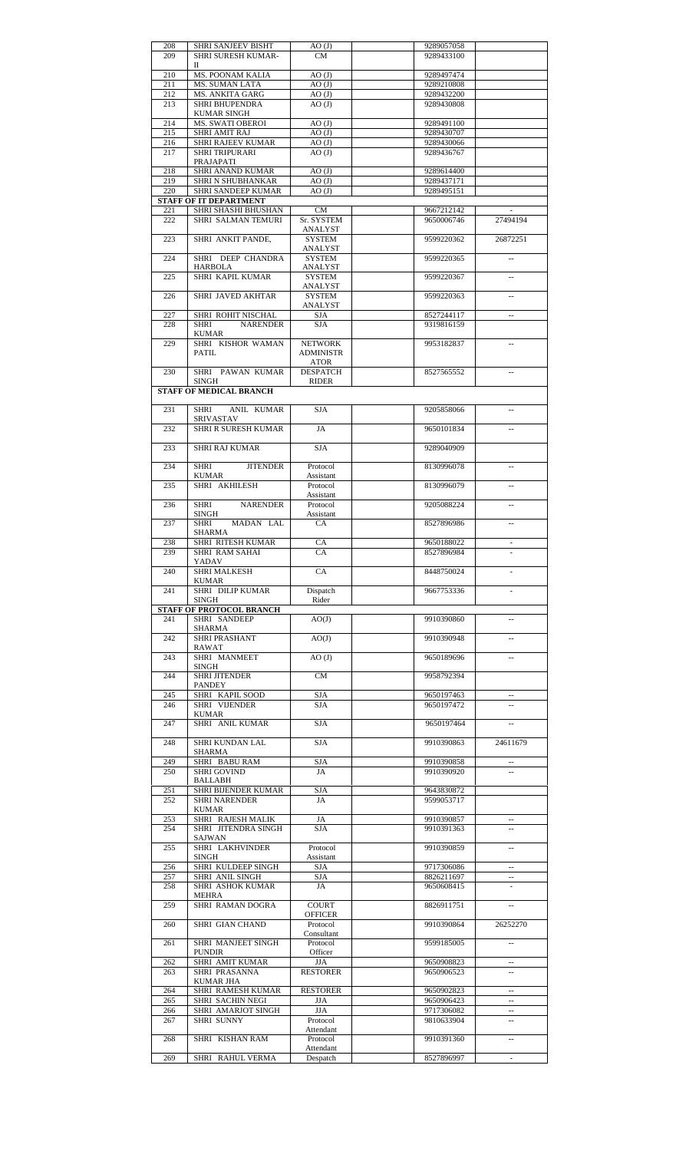| 208        | SHRI SANJEEV BISHT                    | AO(J)                           | 9289057058               |                                    |
|------------|---------------------------------------|---------------------------------|--------------------------|------------------------------------|
| 209        | SHRI SURESH KUMAR-                    | <b>CM</b>                       | 9289433100               |                                    |
| 210        | П<br>MS. POONAM KALIA                 | $AO$ $(J)$                      | 9289497474               |                                    |
| 211        | MS. SUMAN LATA                        | $AO$ $(J)$                      | 9289210808               |                                    |
| 212        | MS. ANKITA GARG                       | AO(J)                           | 9289432200               |                                    |
| 213        | <b>SHRI BHUPENDRA</b>                 | AO(J)                           | 9289430808               |                                    |
|            | <b>KUMAR SINGH</b>                    |                                 |                          |                                    |
| 214        | <b>MS. SWATI OBEROI</b>               | AO(J)                           | 9289491100               |                                    |
| 215        | <b>SHRI AMIT RAJ</b>                  | $AO$ $(J)$                      | 9289430707               |                                    |
| 216        | SHRI RAJEEV KUMAR                     | $AO$ $(J)$                      | 9289430066               |                                    |
| 217        | <b>SHRI TRIPURARI</b><br>PRAJAPATI    | AO(J)                           | 9289436767               |                                    |
| 218        | SHRI ANAND KUMAR                      | $AO$ $(J)$                      | 9289614400               |                                    |
| 219        | SHRI N SHUBHANKAR                     | $AO$ $(J)$                      | 9289437171               |                                    |
| 220        | SHRI SANDEEP KUMAR                    | AO(J)                           | 9289495151               |                                    |
|            | <b>STAFF OF IT DEPARTMENT</b>         |                                 |                          |                                    |
| 221        | SHRI SHASHI BHUSHAN                   | CM                              | 9667212142               | $\overline{\phantom{a}}$           |
| 222        | SHRI SALMAN TEMURI                    | Sr. SYSTEM                      | 9650006746               | 27494194                           |
| 223        | SHRI ANKIT PANDE,                     | ANALYST<br>SYSTEM               | 9599220362               | 26872251                           |
|            |                                       | ANALYST                         |                          |                                    |
| 224        | SHRI DEEP CHANDRA                     | <b>SYSTEM</b>                   | 9599220365               |                                    |
|            | HARBOLA                               | ANALYST                         |                          |                                    |
| 225        | SHRI KAPIL KUMAR                      | <b>SYSTEM</b>                   | 9599220367               | $\overline{\phantom{a}}$           |
|            |                                       | ANALYST                         |                          |                                    |
| 226        | SHRI JAVED AKHTAR                     | <b>SYSTEM</b>                   | 9599220363               |                                    |
| 227        | SHRI ROHIT NISCHAL                    | ANALYST<br>SJA                  | 8527244117               | $\overline{\phantom{a}}$           |
| 228        | <b>NARENDER</b><br>SHRI               | <b>SJA</b>                      | 9319816159               |                                    |
|            | KUMAR                                 |                                 |                          |                                    |
| 229        | SHRI KISHOR WAMAN                     | <b>NETWORK</b>                  | 9953182837               |                                    |
|            | PATIL                                 | <b>ADMINISTR</b>                |                          |                                    |
|            |                                       | ATOR                            |                          |                                    |
| 230        | SHRI PAWAN KUMAR<br><b>SINGH</b>      | <b>DESPATCH</b><br><b>RIDER</b> | 8527565552               |                                    |
|            | <b>STAFF OF MEDICAL BRANCH</b>        |                                 |                          |                                    |
|            |                                       |                                 |                          |                                    |
| 231        | SHRI ANIL KUMAR                       | <b>SJA</b>                      | 9205858066               | $\overline{\phantom{a}}$           |
|            | <b>SRIVASTAV</b>                      |                                 |                          |                                    |
| 232        | SHRI R SURESH KUMAR                   | JA                              | 9650101834               | $\overline{\phantom{a}}$           |
| 233        | <b>SHRI RAJ KUMAR</b>                 | <b>SJA</b>                      | 9289040909               |                                    |
|            |                                       |                                 |                          |                                    |
| 234        | SHRI<br><b>JITENDER</b>               | Protocol                        | 8130996078               |                                    |
|            | KUMAR                                 | Assistant                       |                          |                                    |
| 235        | SHRI AKHILESH                         | Protocol                        | 8130996079               | $\mathbf{u}$                       |
| 236        | SHRI<br><b>NARENDER</b>               | Assistant<br>Protocol           | 9205088224               | --                                 |
|            | SINGH                                 | Assistant                       |                          |                                    |
| 237        | <b>SHRI</b><br>MADAN LAL              | CA                              | 8527896986               | $\overline{\phantom{a}}$           |
|            | SHARMA                                |                                 |                          |                                    |
| 238<br>239 | SHRI RITESH KUMAR<br>SHRI RAM SAHAI   | CA<br>CA                        | 9650188022<br>8527896984 | $\overline{\phantom{a}}$           |
|            | YADAV                                 |                                 |                          |                                    |
| 240        | <b>SHRI MALKESH</b>                   | CA                              | 8448750024               |                                    |
|            | KUMAR                                 |                                 |                          |                                    |
| 241        | SHRI DILIP KUMAR                      | Dispatch<br>Rider               | 9667753336               |                                    |
|            | SINGH<br>STAFF OF PROTOCOL BRANCH     |                                 |                          |                                    |
| 241        | SHRI SANDEEP                          | AO(J)                           | 9910390860               |                                    |
|            | SHARMA                                |                                 |                          |                                    |
| 242        | SHRI PRASHANT                         | AO(J)                           | 9910390948               |                                    |
|            | RAWAT<br>SHRI MANMEET                 |                                 |                          |                                    |
| 243        | SINGH                                 | AO(J)                           | 9650189696               |                                    |
| 244        | <b>SHRI JITENDER</b>                  | <b>CM</b>                       | 9958792394               |                                    |
|            | PANDEY                                |                                 |                          |                                    |
| 245        | SHRI KAPIL SOOD                       | SJA                             | 9650197463               |                                    |
| 246        | SHRI VIJENDER                         | <b>SJA</b>                      | 9650197472               |                                    |
| 247        | KUMAR<br>SHRI ANIL KUMAR              | <b>SJA</b>                      | 9650197464               |                                    |
|            |                                       |                                 |                          |                                    |
| 248        | SHRI KUNDAN LAL                       | <b>SJA</b>                      | 9910390863               | 24611679                           |
|            | <b>SHARMA</b>                         |                                 |                          |                                    |
| 249        | SHRI BABU RAM                         | <b>SJA</b>                      | 9910390858               |                                    |
| 250        | <b>SHRI GOVIND</b><br><b>BALLABH</b>  | JA                              | 9910390920               |                                    |
| 251        | SHRI BIJENDER KUMAR                   | <b>SJA</b>                      | 9643830872               |                                    |
| 252        | <b>SHRI NARENDER</b>                  | JA                              | 9599053717               |                                    |
|            | KUMAR                                 |                                 |                          |                                    |
| 253        | SHRI RAJESH MALIK                     | JA                              | 9910390857               |                                    |
| 254        | SHRI JITENDRA SINGH<br>SAJWAN         | <b>SJA</b>                      | 9910391363               |                                    |
| 255        | SHRI LAKHVINDER                       | Protocol                        | 9910390859               | $\overline{\phantom{a}}$           |
|            | SINGH                                 | Assistant                       |                          |                                    |
| 256        | SHRI KULDEEP SINGH                    | <b>SJA</b>                      | 9717306086               | $\sim$                             |
| 257        | SHRI ANIL SINGH                       | <b>SJA</b>                      | 8826211697               |                                    |
| 258        | SHRI ASHOK KUMAR<br>MEHRA             | JA                              | 9650608415               |                                    |
| 259        | SHRI RAMAN DOGRA                      | <b>COURT</b>                    | 8826911751               |                                    |
|            |                                       | <b>OFFICER</b>                  |                          |                                    |
| 260        | SHRI GIAN CHAND                       | Protocol                        | 9910390864               | 26252270                           |
| 261        | <b>SHRI MANJEET SINGH</b>             | Consultant<br>Protocol          | 9599185005               |                                    |
|            | <b>PUNDIR</b>                         | Officer                         |                          |                                    |
| 262        | <b>SHRI AMIT KUMAR</b>                | <b>JJA</b>                      | 9650908823               |                                    |
| 263        | SHRI PRASANNA                         | <b>RESTORER</b>                 | 9650906523               |                                    |
|            | <b>KUMAR JHA</b>                      |                                 |                          |                                    |
| 264<br>265 | SHRI RAMESH KUMAR<br>SHRI SACHIN NEGI | <b>RESTORER</b><br>JJA          | 9650902823<br>9650906423 | $\overline{\phantom{a}}$<br>$\sim$ |
| 266        | SHRI AMARJOT SINGH                    | JJA                             | 9717306082               |                                    |
| 267        | <b>SHRI SUNNY</b>                     | Protocol                        | 9810633904               | $\overline{\phantom{a}}$           |
|            |                                       | Attendant                       |                          |                                    |
| 268        | SHRI KISHAN RAM                       | Protocol                        | 9910391360               |                                    |
|            |                                       | Attendant                       |                          |                                    |
| 269        | SHRI RAHUL VERMA                      | Despatch                        | 8527896997               | $\overline{\phantom{a}}$           |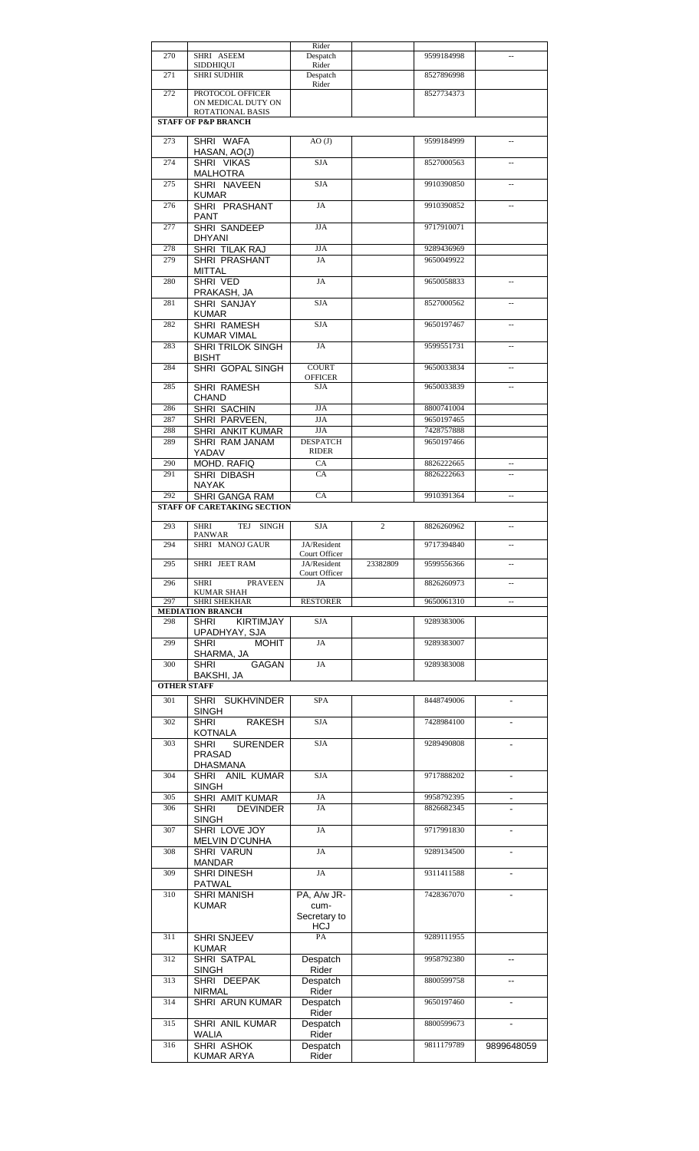|                    |                                    | Rider             |                |            |                          |
|--------------------|------------------------------------|-------------------|----------------|------------|--------------------------|
| 270                | SHRI ASEEM                         | Despatch          |                | 9599184998 |                          |
|                    | <b>SIDDHIQUI</b>                   | Rider             |                |            |                          |
| 271                | <b>SHRI SUDHIR</b>                 | Despatch          |                | 8527896998 |                          |
|                    |                                    | Rider             |                |            |                          |
| 272                | PROTOCOL OFFICER                   |                   |                | 8527734373 |                          |
|                    | ON MEDICAL DUTY ON                 |                   |                |            |                          |
|                    | ROTATIONAL BASIS                   |                   |                |            |                          |
|                    | <b>STAFF OF P&amp;P BRANCH</b>     |                   |                |            |                          |
|                    |                                    |                   |                |            |                          |
| 273                | SHRI WAFA                          | AO(J)             |                | 9599184999 | $\overline{a}$           |
|                    | HASAN, AO(J)                       |                   |                |            |                          |
| 274                | SHRI VIKAS                         | <b>SJA</b>        |                | 8527000563 | ш,                       |
|                    | <b>MALHOTRA</b>                    |                   |                |            |                          |
| 275                | SHRI NAVEEN                        | <b>SJA</b>        |                | 9910390850 | u.                       |
|                    | <b>KUMAR</b>                       |                   |                |            |                          |
| 276                | SHRI PRASHANT                      | JA                |                | 9910390852 |                          |
|                    |                                    |                   |                |            |                          |
|                    | PANT                               |                   |                |            |                          |
| 277                | SHRI SANDEEP                       | <b>JJA</b>        |                | 9717910071 |                          |
|                    | <b>DHYANI</b>                      |                   |                |            |                          |
| 278                | SHRI TILAK RAJ                     | <b>JJA</b>        |                | 9289436969 |                          |
| 279                | SHRI PRASHANT                      | JA                |                | 9650049922 |                          |
|                    | MITTAL                             |                   |                |            |                          |
| 280                | SHRI VED                           | JA                |                | 9650058833 |                          |
|                    |                                    |                   |                |            |                          |
|                    | PRAKASH, JA                        |                   |                |            |                          |
| 281                | <b>SHRI SANJAY</b>                 | <b>SJA</b>        |                | 8527000562 |                          |
|                    | KUMAR                              |                   |                |            |                          |
| 282                | <b>SHRI RAMESH</b>                 | <b>SJA</b>        |                | 9650197467 | u.                       |
|                    | <b>KUMAR VIMAL</b>                 |                   |                |            |                          |
| 283                | <b>SHRI TRILOK SINGH</b>           | JA                |                | 9599551731 |                          |
|                    | <b>BISHT</b>                       |                   |                |            |                          |
| 284                | <b>SHRI GOPAL SINGH</b>            | <b>COURT</b>      |                | 9650033834 | ш,                       |
|                    |                                    | <b>OFFICER</b>    |                |            |                          |
| 285                | <b>SHRI RAMESH</b>                 | <b>SJA</b>        |                | 9650033839 | Ξ.                       |
|                    |                                    |                   |                |            |                          |
|                    | <b>CHAND</b>                       |                   |                |            |                          |
| 286                | SHRI SACHIN                        | <b>JJA</b>        |                | 8800741004 |                          |
| 287                | SHRI PARVEEN,                      | <b>JJA</b>        |                | 9650197465 |                          |
| 288                | SHRI ANKIT KUMAR                   | <b>JJA</b>        |                | 7428757888 |                          |
| 289                | SHRI RAM JANAM                     | <b>DESPATCH</b>   |                | 9650197466 |                          |
|                    | YADAV                              | RIDER             |                |            |                          |
| 290                | MOHD. RAFIQ                        | CA                |                | 8826222665 | $\overline{\phantom{a}}$ |
| 291                |                                    | <b>CA</b>         |                | 8826222663 |                          |
|                    | SHRI DIBASH                        |                   |                |            | $\overline{a}$           |
|                    | NAYAK                              |                   |                |            |                          |
| 292                | <b>SHRI GANGA RAM</b>              | <b>CA</b>         |                | 9910391364 | $\overline{a}$           |
|                    | <b>STAFF OF CARETAKING SECTION</b> |                   |                |            |                          |
|                    |                                    |                   |                |            |                          |
| 293                | <b>SHRI</b><br>TEJ<br><b>SINGH</b> | SJA               | $\overline{c}$ | 8826260962 | $\ddotsc$                |
|                    | PANWAR                             |                   |                |            |                          |
| 294                | SHRI MANOJ GAUR                    | JA/Resident       |                | 9717394840 | --                       |
|                    |                                    |                   |                |            |                          |
|                    |                                    | Court Officer     |                |            |                          |
| 295                | SHRI JEET RAM                      | JA/Resident       | 23382809       | 9599556366 | $\overline{a}$           |
|                    |                                    | Court Officer     |                |            |                          |
| 296                | <b>PRAVEEN</b><br><b>SHRI</b>      | JA                |                | 8826260973 |                          |
|                    | <b>KUMAR SHAH</b>                  |                   |                |            |                          |
| 297                | <b>SHRI SHEKHAR</b>                | <b>RESTORER</b>   |                | 9650061310 | $\overline{\phantom{a}}$ |
|                    | <b>MEDIATION BRANCH</b>            |                   |                |            |                          |
| 298                | <b>KIRTIMJAY</b><br><b>SHRI</b>    | <b>SJA</b>        |                | 9289383006 |                          |
|                    | UPADHYAY, SJA                      |                   |                |            |                          |
| 299                | <b>MOHIT</b><br><b>SHRI</b>        | JA                |                | 9289383007 |                          |
|                    | SHARMA, JA                         |                   |                |            |                          |
| 300                | <b>GAGAN</b><br><b>SHRI</b>        | JA                |                | 9289383008 |                          |
|                    | BAKSHI, JA                         |                   |                |            |                          |
| <b>OTHER STAFF</b> |                                    |                   |                |            |                          |
|                    |                                    |                   |                |            |                          |
| 301                | SHRI SUKHVINDER                    | <b>SPA</b>        |                | 8448749006 |                          |
|                    | <b>SINGH</b>                       |                   |                |            |                          |
| 302                | <b>SHRI</b><br><b>RAKESH</b>       | <b>SJA</b>        |                | 7428984100 |                          |
|                    | <b>KOTNALA</b>                     |                   |                |            |                          |
| 303                | <b>SURENDER</b><br><b>SHRI</b>     | <b>SJA</b>        |                | 9289490808 |                          |
|                    | <b>PRASAD</b>                      |                   |                |            |                          |
|                    | <b>DHASMANA</b>                    |                   |                |            |                          |
| 304                | SHRI ANIL KUMAR                    | <b>SJA</b>        |                | 9717888202 | $\blacksquare$           |
|                    |                                    |                   |                |            |                          |
|                    | <b>SINGH</b>                       |                   |                |            |                          |
| 305                | SHRI AMIT KUMAR                    | JA                |                | 9958792395 | ۰                        |
| 306                | <b>DEVINDER</b><br><b>SHRI</b>     | JA                |                | 8826682345 |                          |
|                    | <b>SINGH</b>                       |                   |                |            |                          |
| 307                | SHRI LOVE JOY                      | JA                |                | 9717991830 |                          |
|                    | MELVIN D'CUNHA                     |                   |                |            |                          |
| 308                | <b>SHRI VARUN</b>                  | JA                |                | 9289134500 |                          |
|                    | <b>MANDAR</b>                      |                   |                |            |                          |
| 309                | <b>SHRI DINESH</b>                 | JA                |                | 9311411588 |                          |
|                    |                                    |                   |                |            |                          |
|                    | <b>PATWAL</b>                      |                   |                |            |                          |
| 310                | <b>SHRI MANISH</b>                 | PA, A/w JR-       |                | 7428367070 |                          |
|                    | <b>KUMAR</b>                       | cum-              |                |            |                          |
|                    |                                    | Secretary to      |                |            |                          |
|                    |                                    | <b>HCJ</b>        |                |            |                          |
| 311                | <b>SHRI SNJEEV</b>                 | PA                |                | 9289111955 |                          |
|                    | <b>KUMAR</b>                       |                   |                |            |                          |
| 312                | <b>SHRI SATPAL</b>                 | Despatch          |                | 9958792380 |                          |
|                    | <b>SINGH</b>                       | Rider             |                |            |                          |
| 313                | SHRI DEEPAK                        | Despatch          |                | 8800599758 | $\overline{a}$           |
|                    | <b>NIRMAL</b>                      | Rider             |                |            |                          |
| 314                |                                    |                   |                | 9650197460 |                          |
|                    | SHRI ARUN KUMAR                    | Despatch          |                |            |                          |
|                    |                                    | Rider             |                |            | ÷,                       |
| 315                | SHRI ANIL KUMAR                    | Despatch          |                | 8800599673 |                          |
|                    | WALIA                              | Rider             |                |            |                          |
| 316                | SHRI ASHOK<br><b>KUMAR ARYA</b>    | Despatch<br>Rider |                | 9811179789 | 9899648059               |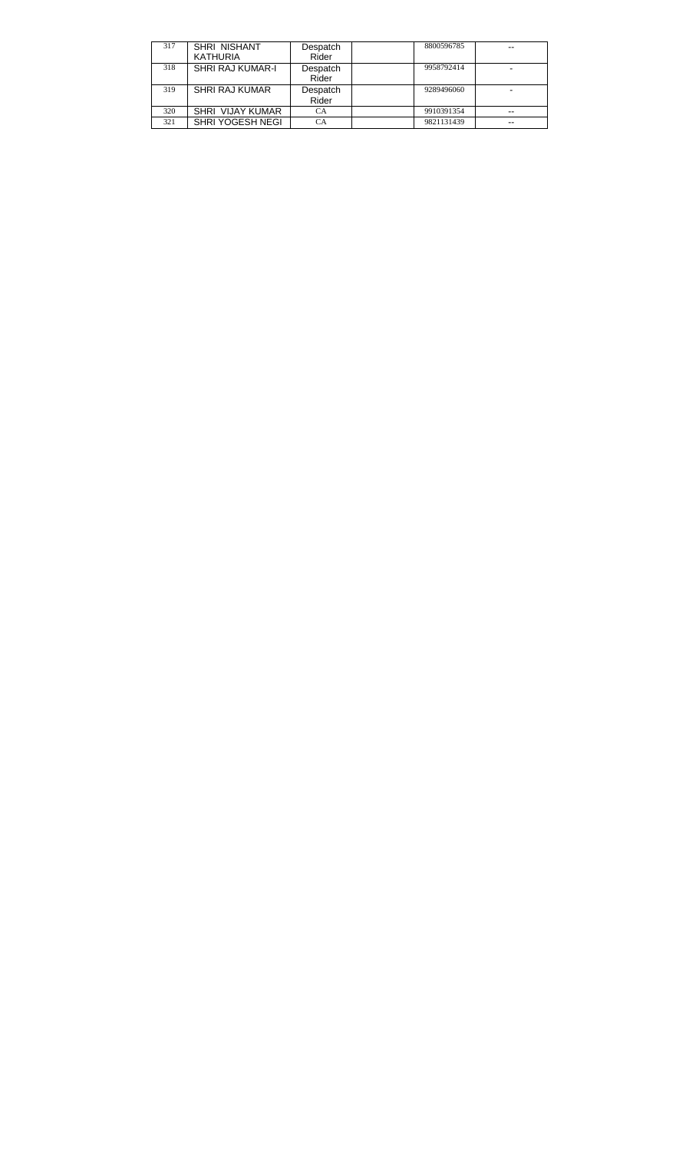| 317 | SHRI NISHANT            | Despatch  | 8800596785 | --    |
|-----|-------------------------|-----------|------------|-------|
|     | <b>KATHURIA</b>         | Rider     |            |       |
| 318 | SHRI RAJ KUMAR-I        | Despatch  | 9958792414 |       |
|     |                         | Rider     |            |       |
| 319 | SHRI RAJ KUMAR          | Despatch  | 9289496060 |       |
|     |                         | Rider     |            |       |
| 320 | <b>SHRI VIJAY KUMAR</b> | <b>CA</b> | 9910391354 | $-$   |
| 321 | SHRI YOGESH NEGI        | СA        | 9821131439 | $- -$ |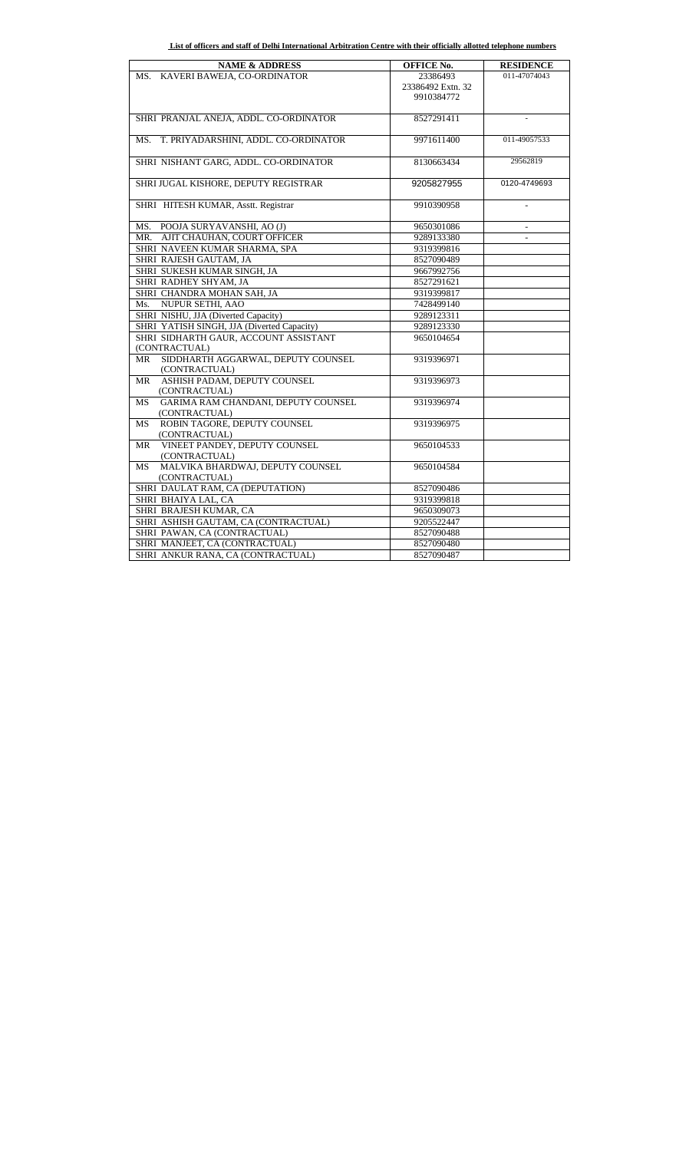| List of officers and staff of Delhi International Arbitration Centre with their officially allotted telephone numbers |  |
|-----------------------------------------------------------------------------------------------------------------------|--|
|                                                                                                                       |  |

| <b>NAME &amp; ADDRESS</b>                        | <b>OFFICE No.</b> | <b>RESIDENCE</b> |
|--------------------------------------------------|-------------------|------------------|
| MS. KAVERI BAWEJA, CO-ORDINATOR                  | 23386493          | 011-47074043     |
|                                                  | 23386492 Extn. 32 |                  |
|                                                  | 9910384772        |                  |
|                                                  |                   |                  |
| SHRI PRANJAL ANEJA, ADDL. CO-ORDINATOR           | 8527291411        |                  |
|                                                  |                   |                  |
| T. PRIYADARSHINI, ADDL. CO-ORDINATOR<br>MS.      | 9971611400        | 011-49057533     |
|                                                  |                   |                  |
| SHRI NISHANT GARG, ADDL. CO-ORDINATOR            | 8130663434        | 29562819         |
|                                                  |                   |                  |
| SHRI JUGAL KISHORE, DEPUTY REGISTRAR             | 9205827955        | 0120-4749693     |
|                                                  |                   |                  |
| SHRI HITESH KUMAR, Asstt. Registrar              | 9910390958        |                  |
|                                                  |                   |                  |
| MS. POOJA SURYAVANSHI, AO (J)                    | 9650301086        | $\overline{a}$   |
| MR. AJIT CHAUHAN, COURT OFFICER                  | 9289133380        |                  |
| SHRI NAVEEN KUMAR SHARMA, SPA                    | 9319399816        |                  |
| SHRI RAJESH GAUTAM, JA                           | 8527090489        |                  |
| SHRI SUKESH KUMAR SINGH, JA                      | 9667992756        |                  |
| SHRI RADHEY SHYAM, JA                            | 8527291621        |                  |
| SHRI CHANDRA MOHAN SAH, JA                       | 9319399817        |                  |
| Ms. NUPUR SETHI, AAO                             | 7428499140        |                  |
| SHRI NISHU, JJA (Diverted Capacity)              | 9289123311        |                  |
| SHRI YATISH SINGH, JJA (Diverted Capacity)       | 9289123330        |                  |
| SHRI SIDHARTH GAUR, ACCOUNT ASSISTANT            | 9650104654        |                  |
| (CONTRACTUAL)                                    |                   |                  |
| SIDDHARTH AGGARWAL, DEPUTY COUNSEL<br>MR         | 9319396971        |                  |
| (CONTRACTUAL)                                    |                   |                  |
| ASHISH PADAM, DEPUTY COUNSEL<br>MR               | 9319396973        |                  |
| (CONTRACTUAL)                                    |                   |                  |
| GARIMA RAM CHANDANI, DEPUTY COUNSEL<br><b>MS</b> | 9319396974        |                  |
| (CONTRACTUAL)                                    |                   |                  |
| ROBIN TAGORE, DEPUTY COUNSEL<br><b>MS</b>        | 9319396975        |                  |
| (CONTRACTUAL)                                    |                   |                  |
| VINEET PANDEY, DEPUTY COUNSEL<br>MR              | 9650104533        |                  |
| (CONTRACTUAL)                                    |                   |                  |
| MALVIKA BHARDWAJ, DEPUTY COUNSEL<br><b>MS</b>    | 9650104584        |                  |
| (CONTRACTUAL)                                    |                   |                  |
| SHRI DAULAT RAM, CA (DEPUTATION)                 | 8527090486        |                  |
| SHRI BHAIYA LAL, CA                              | 9319399818        |                  |
| SHRI BRAJESH KUMAR, CA                           | 9650309073        |                  |
| SHRI ASHISH GAUTAM, CA (CONTRACTUAL)             | 9205522447        |                  |
| SHRI PAWAN, CA (CONTRACTUAL)                     | 8527090488        |                  |
| SHRI MANJEET, CA (CONTRACTUAL)                   | 8527090480        |                  |
| SHRI ANKUR RANA, CA (CONTRACTUAL)                | 8527090487        |                  |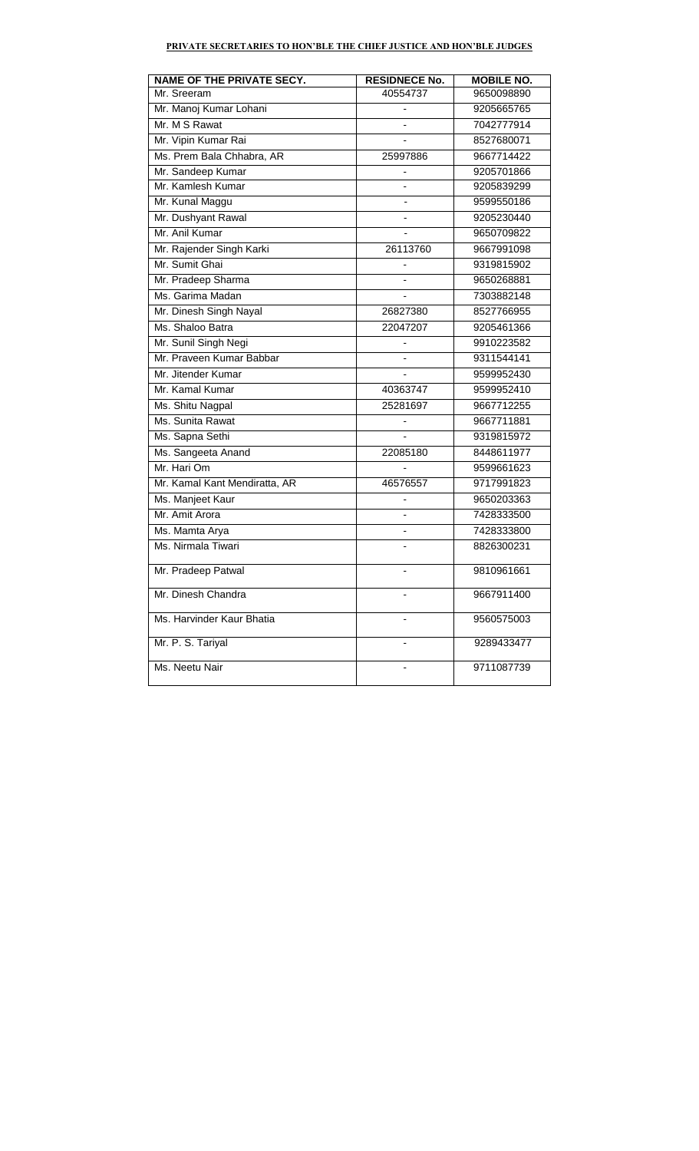# **PRIVATE SECRETARIES TO HON'BLE THE CHIEF JUSTICE AND HON'BLE JUDGES**

| NAME OF THE PRIVATE SECY.     | <b>RESIDNECE No.</b>         | <b>MOBILE NO.</b> |
|-------------------------------|------------------------------|-------------------|
| Mr. Sreeram                   | 40554737                     | 9650098890        |
| Mr. Manoj Kumar Lohani        |                              | 9205665765        |
| Mr. M S Rawat                 |                              | 7042777914        |
| Mr. Vipin Kumar Rai           |                              | 8527680071        |
| Ms. Prem Bala Chhabra, AR     | 25997886                     | 9667714422        |
| Mr. Sandeep Kumar             |                              | 9205701866        |
| Mr. Kamlesh Kumar             | $\overline{a}$               | 9205839299        |
| Mr. Kunal Maggu               |                              | 9599550186        |
| Mr. Dushyant Rawal            |                              | 9205230440        |
| Mr. Anil Kumar                |                              | 9650709822        |
| Mr. Rajender Singh Karki      | 26113760                     | 9667991098        |
| Mr. Sumit Ghai                | $\qquad \qquad \blacksquare$ | 9319815902        |
| Mr. Pradeep Sharma            |                              | 9650268881        |
| Ms. Garima Madan              |                              | 7303882148        |
| Mr. Dinesh Singh Nayal        | 26827380                     | 8527766955        |
| Ms. Shaloo Batra              | 22047207                     | 9205461366        |
| Mr. Sunil Singh Negi          |                              | 9910223582        |
| Mr. Praveen Kumar Babbar      |                              | 9311544141        |
| Mr. Jitender Kumar            | $\overline{\phantom{a}}$     | 9599952430        |
| Mr. Kamal Kumar               | 40363747                     | 9599952410        |
| Ms. Shitu Nagpal              | 25281697                     | 9667712255        |
| Ms. Sunita Rawat              | ÷                            | 9667711881        |
| Ms. Sapna Sethi               | $\overline{a}$               | 9319815972        |
| Ms. Sangeeta Anand            | 22085180                     | 8448611977        |
| Mr. Hari Om                   |                              | 9599661623        |
| Mr. Kamal Kant Mendiratta, AR | 46576557                     | 9717991823        |
| Ms. Manjeet Kaur              |                              | 9650203363        |
| Mr. Amit Arora                | $\overline{\phantom{0}}$     | 7428333500        |
| Ms. Mamta Arya                |                              | 7428333800        |
| Ms. Nirmala Tiwari            |                              | 8826300231        |
| Mr. Pradeep Patwal            | -                            | 9810961661        |
| Mr. Dinesh Chandra            |                              | 9667911400        |
| Ms. Harvinder Kaur Bhatia     |                              | 9560575003        |
| Mr. P. S. Tariyal             |                              | 9289433477        |
| Ms. Neetu Nair                |                              | 9711087739        |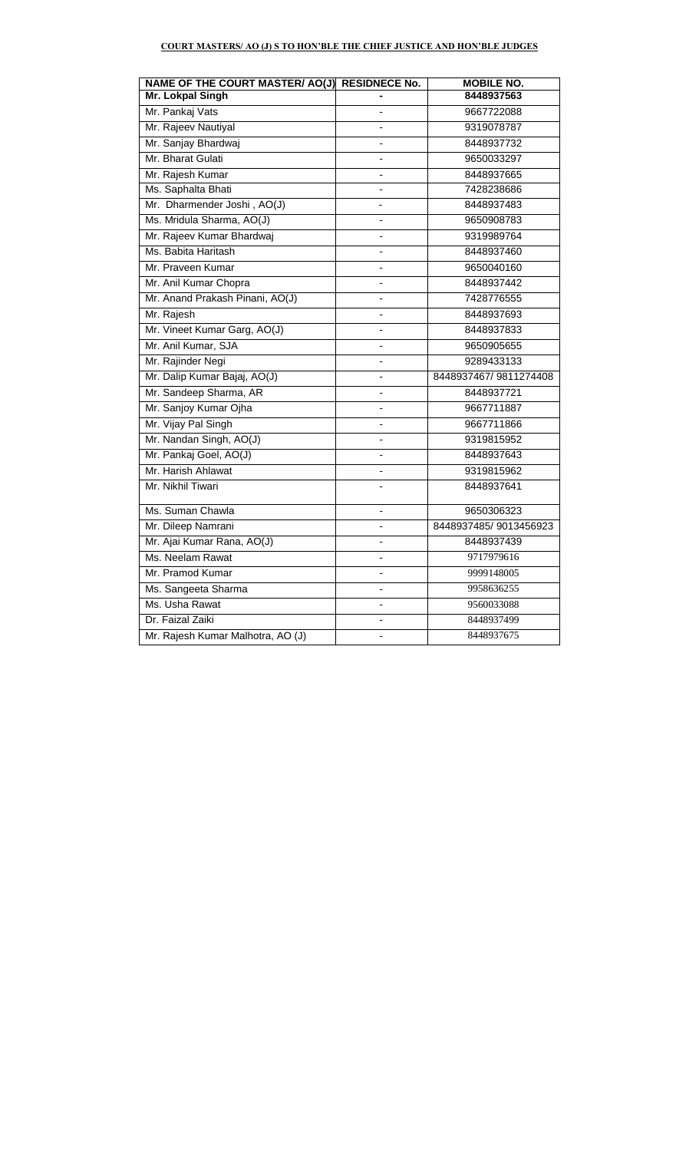# **COURT MASTERS/ AO (J) S TO HON'BLE THE CHIEF JUSTICE AND HON'BLE JUDGES**

| NAME OF THE COURT MASTER/ AO(J) RESIDNECE No. |    | <b>MOBILE NO.</b>     |
|-----------------------------------------------|----|-----------------------|
| Mr. Lokpal Singh                              |    | 8448937563            |
| Mr. Pankaj Vats                               |    | 9667722088            |
| Mr. Rajeev Nautiyal                           |    | 9319078787            |
| Mr. Sanjay Bhardwaj                           |    | 8448937732            |
| Mr. Bharat Gulati                             |    | 9650033297            |
| Mr. Rajesh Kumar                              |    | 8448937665            |
| Ms. Saphalta Bhati                            |    | 7428238686            |
| Mr. Dharmender Joshi, AO(J)                   |    | 8448937483            |
| Ms. Mridula Sharma, AO(J)                     |    | 9650908783            |
| Mr. Rajeev Kumar Bhardwaj                     |    | 9319989764            |
| Ms. Babita Haritash                           |    | 8448937460            |
| Mr. Praveen Kumar                             |    | 9650040160            |
| Mr. Anil Kumar Chopra                         |    | 8448937442            |
| Mr. Anand Prakash Pinani, AO(J)               |    | 7428776555            |
| Mr. Rajesh                                    |    | 8448937693            |
| Mr. Vineet Kumar Garg, AO(J)                  | ÷, | 8448937833            |
| Mr. Anil Kumar, SJA                           |    | 9650905655            |
| Mr. Rajinder Negi                             |    | 9289433133            |
| Mr. Dalip Kumar Bajaj, AO(J)                  |    | 8448937467/9811274408 |
| Mr. Sandeep Sharma, AR                        | ÷, | 8448937721            |
| Mr. Sanjoy Kumar Ojha                         |    | 9667711887            |
| Mr. Vijay Pal Singh                           |    | 9667711866            |
| Mr. Nandan Singh, AO(J)                       |    | 9319815952            |
| Mr. Pankaj Goel, AO(J)                        |    | 8448937643            |
| Mr. Harish Ahlawat                            |    | 9319815962            |
| Mr. Nikhil Tiwari                             |    | 8448937641            |
| Ms. Suman Chawla                              |    | 9650306323            |
| Mr. Dileep Namrani                            |    | 8448937485/9013456923 |
| Mr. Ajai Kumar Rana, AO(J)                    | ٠  | 8448937439            |
| Ms. Neelam Rawat                              | ٠  | 9717979616            |
| Mr. Pramod Kumar                              | ä, | 9999148005            |
| Ms. Sangeeta Sharma                           |    | 9958636255            |
| Ms. Usha Rawat                                |    | 9560033088            |
| Dr. Faizal Zaiki                              |    | 8448937499            |
| Mr. Rajesh Kumar Malhotra, AO (J)             |    | 8448937675            |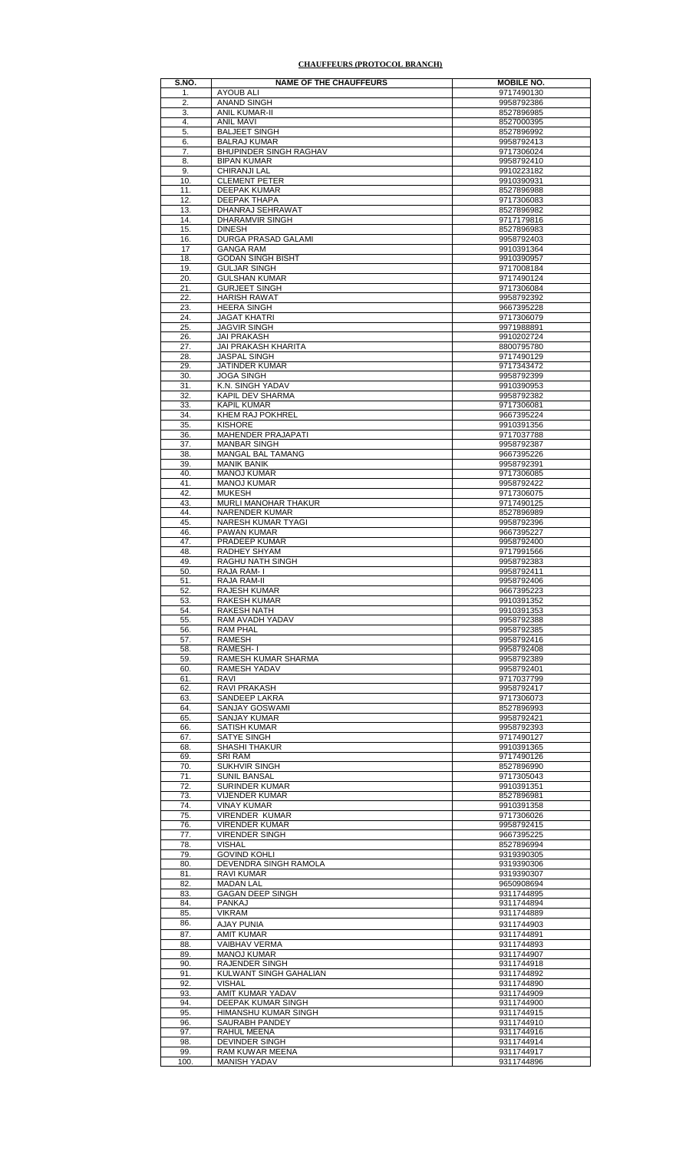#### **CHAUFFEURS (PROTOCOL BRANCH)**

| S.NO.      | <b>NAME OF THE CHAUFFEURS</b>               | <b>MOBILE NO.</b>        |
|------------|---------------------------------------------|--------------------------|
| 1.         | AYOUB ALI                                   | 9717490130               |
| 2.         | <b>ANAND SINGH</b>                          | 9958792386               |
| 3.         | <b>ANIL KUMAR-II</b>                        | 8527896985               |
| 4.<br>5.   | <b>ANIL MAVI</b><br><b>BALJEET SINGH</b>    | 8527000395<br>8527896992 |
| 6.         | <b>BALRAJ KUMAR</b>                         | 9958792413               |
| 7.         | <b>BHUPINDER SINGH RAGHAV</b>               | 9717306024               |
| 8.         | <b>BIPAN KUMAR</b>                          | 9958792410               |
| 9.         | CHIRANJI LAL                                | 9910223182               |
| 10.        | <b>CLEMENT PETER</b>                        | 9910390931               |
| 11.        | <b>DEEPAK KUMAR</b>                         | 8527896988               |
| 12.        | DEEPAK THAPA                                | 9717306083               |
| 13.        | DHANRAJ SEHRAWAT                            | 8527896982               |
| 14.        | DHARAMVIR SINGH                             | 9717179816               |
| 15.        | <b>DINESH</b>                               | 8527896983<br>9958792403 |
| 16.<br>17  | DURGA PRASAD GALAMI<br><b>GANGA RAM</b>     | 9910391364               |
| 18.        | <b>GODAN SINGH BISHT</b>                    | 9910390957               |
| 19.        | <b>GULJAR SINGH</b>                         | 9717008184               |
| 20.        | <b>GULSHAN KUMAR</b>                        | 9717490124               |
| 21.        | <b>GURJEET SINGH</b>                        | 9717306084               |
| 22.        | <b>HARISH RAWAT</b>                         | 9958792392               |
| 23.        | <b>HEERA SINGH</b>                          | 9667395228               |
| 24.        | <b>JAGAT KHATRI</b>                         | 9717306079               |
| 25.        | <b>JAGVIR SINGH</b>                         | 9971988891               |
| 26.        | <b>JAI PRAKASH</b>                          | 9910202724               |
| 27.        | JAI PRAKASH KHARITA                         | 8800795780               |
| 28.        | <b>JASPAL SINGH</b><br>JATINDER KUMAR       | 9717490129<br>9717343472 |
| 29.<br>30. | <b>JOGA SINGH</b>                           | 9958792399               |
| 31.        | K.N. SINGH YADAV                            | 9910390953               |
| 32.        | KAPIL DEV SHARMA                            | 9958792382               |
| 33.        | <b>KAPIL KUMAR</b>                          | 9717306081               |
| 34.        | KHEM RAJ POKHREL                            | 9667395224               |
| 35.        | <b>KISHORE</b>                              | 9910391356               |
| 36.        | MAHENDER PRAJAPATI                          | 9717037788               |
| 37.        | <b>MANBAR SINGH</b>                         | 9958792387               |
| 38.        | MANGAL BAL TAMANG                           | 9667395226               |
| 39.        | <b>MANIK BANIK</b>                          | 9958792391               |
| 40.<br>41. | <b>MANOJ KUMAR</b><br><b>MANOJ KUMAR</b>    | 9717306085<br>9958792422 |
| 42.        | <b>MUKESH</b>                               | 9717306075               |
| 43.        | MURLI MANOHAR THAKUR                        | 9717490125               |
| 44.        | <b>NARENDER KUMAR</b>                       | 8527896989               |
| 45.        | NARESH KUMAR TYAGI                          | 9958792396               |
| 46.        | PAWAN KUMAR                                 | 9667395227               |
| 47.        | PRADEEP KUMAR                               | 9958792400               |
| 48.        | RADHEY SHYAM                                | 9717991566               |
| 49.        | RAGHU NATH SINGH                            | 9958792383               |
| 50.        | RAJA RAM-I                                  | 9958792411               |
| 51.<br>52  | RAJA RAM-II<br>RAJESH KUMAR                 | 9958792406<br>9667395223 |
| 53.        | <b>RAKESH KUMAR</b>                         | 9910391352               |
| 54.        | <b>RAKESH NATH</b>                          | 9910391353               |
| 55.        | RAM AVADH YADAV                             | 9958792388               |
| 56.        | RAM PHAL                                    | 9958792385               |
| 57.        | RAMESH                                      | 9958792416               |
| 58.        | RAMESH-I                                    | 9958792408               |
| 59.        | RAMESH KUMAR SHARMA                         | 9958792389               |
| 60.        | RAMESH YADAV                                | 9958792401               |
| 61.        | RAVI                                        | 9717037799               |
| 62.        | <b>RAVI PRAKASH</b><br><b>SANDEEP LAKRA</b> | 9958792417               |
| 63.<br>64. | SANJAY GOSWAMI                              | 9717306073<br>8527896993 |
| 65.        | <b>SANJAY KUMAR</b>                         | 9958792421               |
| 66.        | <b>SATISH KUMAR</b>                         | 9958792393               |
| 67.        | SATYE SINGH                                 | 9717490127               |
| 68.        | <b>SHASHI THAKUR</b>                        | 9910391365               |
| 69.        | SRI RAM                                     | 9717490126               |
| 70.        | SUKHVIR SINGH                               | 8527896990               |
| 71.        | <b>SUNIL BANSAL</b>                         | 9717305043               |
| 72.        | <b>SURINDER KUMAR</b>                       | 9910391351               |
| 73.        | <b>VIJENDER KUMAR</b>                       | 8527896981               |
| 74.<br>75. | <b>VINAY KUMAR</b><br><b>VIRENDER KUMAR</b> | 9910391358<br>9717306026 |
| 76.        | <b>VIRENDER KUMAR</b>                       | 9958792415               |
| 77.        | <b>VIRENDER SINGH</b>                       | 9667395225               |
| 78.        | VISHAL                                      | 8527896994               |
| 79.        | <b>GOVIND KOHLI</b>                         | 9319390305               |
| 80.        | DEVENDRA SINGH RAMOLA                       | 9319390306               |
| 81.        | <b>RAVI KUMAR</b>                           | 9319390307               |
| 82.        | <b>MADAN LAL</b>                            | 9650908694               |
| 83.        | <b>GAGAN DEEP SINGH</b>                     | 9311744895               |
| 84.        | <b>PANKAJ</b>                               | 9311744894               |
| 85.        | <b>VIKRAM</b>                               | 9311744889               |
| 86.        | <b>AJAY PUNIA</b>                           | 9311744903               |
| 87.        | <b>AMIT KUMAR</b>                           | 9311744891               |
| 88.        | <b>VAIBHAV VERMA</b>                        | 9311744893               |
| 89.        | <b>MANOJ KUMAR</b>                          | 9311744907               |
| 90.<br>91. | RAJENDER SINGH<br>KULWANT SINGH GAHALIAN    | 9311744918<br>9311744892 |
| 92.        | VISHAL                                      | 9311744890               |
| 93.        | AMIT KUMAR YADAV                            | 9311744909               |
| 94.        | DEEPAK KUMAR SINGH                          | 9311744900               |
| 95.        | HIMANSHU KUMAR SINGH                        | 9311744915               |
| 96.        | SAURABH PANDEY                              | 9311744910               |
| 97.        | RAHUL MEENA                                 | 9311744916               |
| 98.        | <b>DEVINDER SINGH</b>                       | 9311744914               |
| 99.        | RAM KUWAR MEENA                             | 9311744917               |
| 100.       | <b>MANISH YADAV</b>                         | 9311744896               |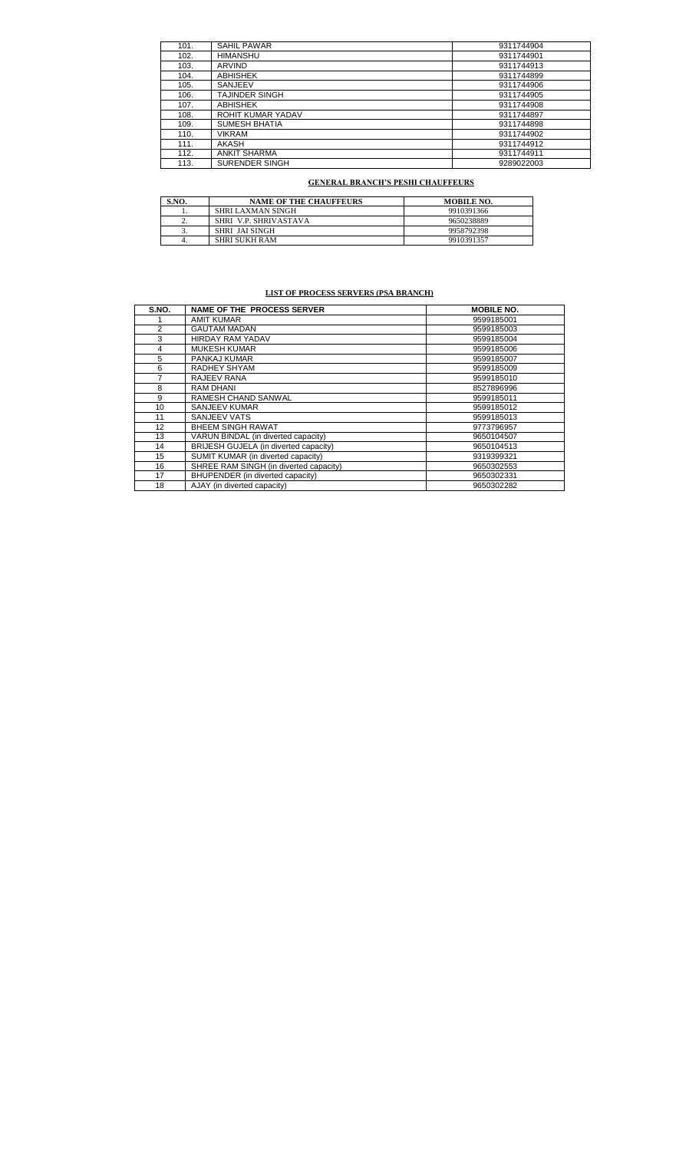| <b>SAHIL PAWAR</b><br>101.<br>9311744904<br>HIMANSHU<br>102.<br>9311744901<br>ARVIND<br>103.<br>9311744913<br><b>ABHISHEK</b><br>9311744899<br>104.<br>SANJEEV<br>105.<br>9311744906 |
|--------------------------------------------------------------------------------------------------------------------------------------------------------------------------------------|
|                                                                                                                                                                                      |
|                                                                                                                                                                                      |
|                                                                                                                                                                                      |
|                                                                                                                                                                                      |
|                                                                                                                                                                                      |
| TAJINDER SINGH<br>9311744905<br>106.                                                                                                                                                 |
| <b>ABHISHEK</b><br>107.<br>9311744908                                                                                                                                                |
| ROHIT KUMAR YADAV<br>108.<br>9311744897                                                                                                                                              |
| <b>SUMESH BHATIA</b><br>109.<br>9311744898                                                                                                                                           |
| VIKRAM<br>110.<br>9311744902                                                                                                                                                         |
| AKASH<br>111.<br>9311744912                                                                                                                                                          |
| <b>ANKIT SHARMA</b><br>112.<br>9311744911                                                                                                                                            |
| <b>SURENDER SINGH</b><br>113.<br>9289022003                                                                                                                                          |

# **GENERAL BRANCH'S PESHI CHAUFFEURS**

| S.NO.    | <b>NAME OF THE CHAUFFEURS</b> | <b>MOBILE NO.</b> |
|----------|-------------------------------|-------------------|
|          | SHRI LAXMAN SINGH             | 9910391366        |
| <u>.</u> | SHRI V.P. SHRIVASTAVA         | 9650238889        |
|          | SHRI JAI SINGH                | 9958792398        |
| ٠.       | <b>SHRI SUKH RAM</b>          | 9910391357        |

# **LIST OF PROCESS SERVERS (PSA BRANCH)**

| S.NO. | <b>NAME OF THE PROCESS SERVER</b>      | <b>MOBILE NO.</b> |
|-------|----------------------------------------|-------------------|
|       | AMIT KUMAR                             | 9599185001        |
| 2     | <b>GAUTAM MADAN</b>                    | 9599185003        |
| 3     | <b>HIRDAY RAM YADAV</b>                | 9599185004        |
| 4     | <b>MUKESH KUMAR</b>                    | 9599185006        |
| 5     | PANKAJ KUMAR                           | 9599185007        |
| 6     | RADHEY SHYAM                           | 9599185009        |
|       | RAJEEV RANA                            | 9599185010        |
| 8     | <b>RAM DHANI</b>                       | 8527896996        |
| 9     | RAMESH CHAND SANWAL                    | 9599185011        |
| 10    | SANJEEV KUMAR                          | 9599185012        |
| 11    | <b>SANJEEV VATS</b>                    | 9599185013        |
| 12    | <b>BHEEM SINGH RAWAT</b>               | 9773796957        |
| 13    | VARUN BINDAL (in diverted capacity)    | 9650104507        |
| 14    | BRIJESH GUJELA (in diverted capacity)  | 9650104513        |
| 15    | SUMIT KUMAR (in diverted capacity)     | 9319399321        |
| 16    | SHREE RAM SINGH (in diverted capacity) | 9650302553        |
| 17    | BHUPENDER (in diverted capacity)       | 9650302331        |
| 18    | AJAY (in diverted capacity)            | 9650302282        |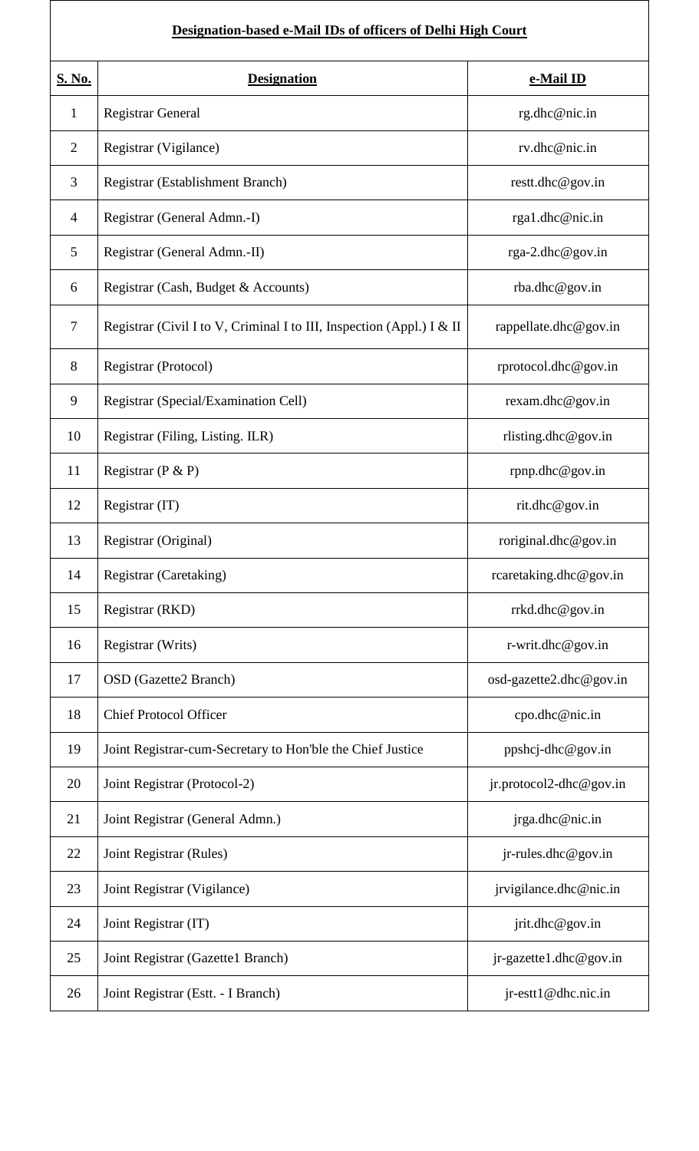# **Designation-based e-Mail IDs of officers of Delhi High Court**

| <b>S. No.</b>  | <b>Designation</b>                                                    | e-Mail ID               |
|----------------|-----------------------------------------------------------------------|-------------------------|
| $\mathbf{1}$   | <b>Registrar General</b>                                              | rg.dhc@nic.in           |
| $\overline{2}$ | Registrar (Vigilance)                                                 | rv.dhc@nic.in           |
| 3              | Registrar (Establishment Branch)                                      | restt.dhc@gov.in        |
| $\overline{4}$ | Registrar (General Admn.-I)                                           | rga1.dhc@nic.in         |
| 5              | Registrar (General Admn.-II)                                          | rga-2.dhc@gov.in        |
| 6              | Registrar (Cash, Budget & Accounts)                                   | rba.dhc@gov.in          |
| $\overline{7}$ | Registrar (Civil I to V, Criminal I to III, Inspection (Appl.) I & II | rappellate.dhc@gov.in   |
| 8              | Registrar (Protocol)                                                  | rprotocol.dhc@gov.in    |
| 9              | Registrar (Special/Examination Cell)                                  | rexam.dhc@gov.in        |
| 10             | Registrar (Filing, Listing. ILR)                                      | rlisting.dhc@gov.in     |
| 11             | Registrar ( $P$ & $P$ )                                               | rpnp.dhc@gov.in         |
| 12             | Registrar (IT)                                                        | rit.dhc@gov.in          |
| 13             | Registrar (Original)                                                  | roriginal.dhc@gov.in    |
| 14             | Registrar (Caretaking)                                                | rcaretaking.dhc@gov.in  |
| 15             | Registrar (RKD)                                                       | rrkd.dhc@gov.in         |
| 16             | Registrar (Writs)                                                     | r-writ.dhc@gov.in       |
| 17             | OSD (Gazette2 Branch)                                                 | osd-gazette2.dhc@gov.in |
| 18             | <b>Chief Protocol Officer</b>                                         | cpo.dhc@nic.in          |
| 19             | Joint Registrar-cum-Secretary to Hon'ble the Chief Justice            | $ppshcj-dhc@gov.in$     |
| 20             | Joint Registrar (Protocol-2)                                          | jr.protocol2-dhc@gov.in |
| 21             | Joint Registrar (General Admn.)                                       | jrga.dhc@nic.in         |
| 22             | Joint Registrar (Rules)                                               | $jr$ -rules.dhc@gov.in  |
| 23             | Joint Registrar (Vigilance)                                           | jrvigilance.dhc@nic.in  |
| 24             | Joint Registrar (IT)                                                  | jrit.dhc@gov.in         |
| 25             | Joint Registrar (Gazette1 Branch)                                     | jr-gazette1.dhc@gov.in  |
| 26             | Joint Registrar (Estt. - I Branch)                                    | $jr-estt1@dhc.nic.in$   |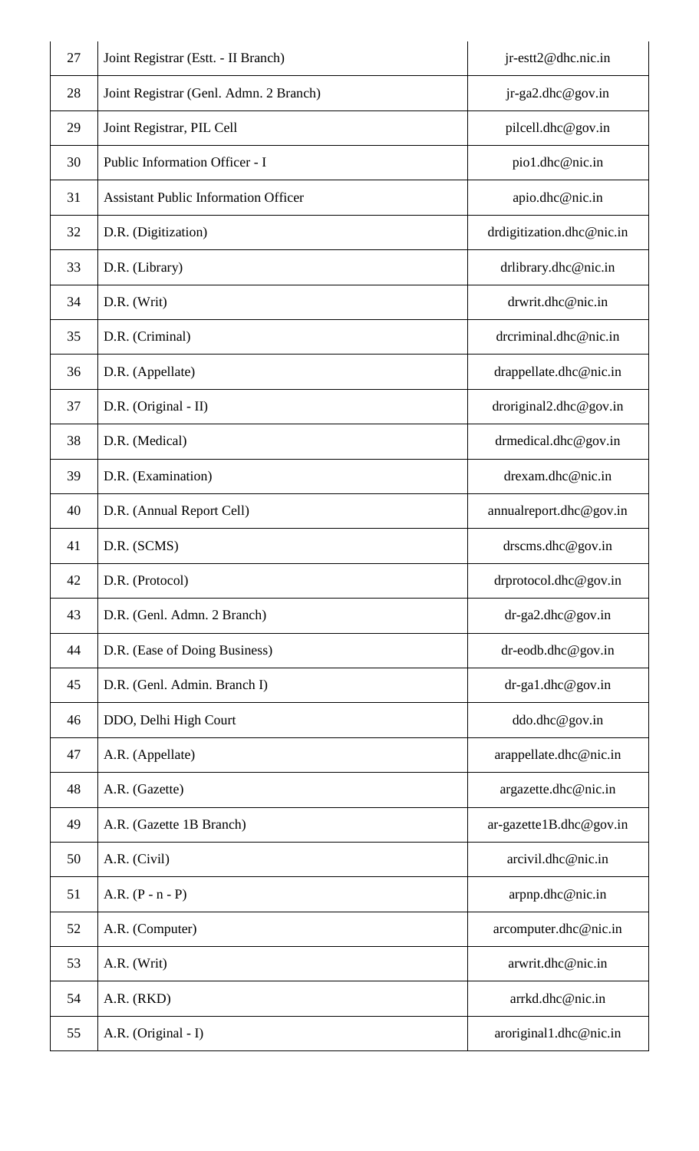| 27 | Joint Registrar (Estt. - II Branch)         | jr-estt2@dhc.nic.in          |
|----|---------------------------------------------|------------------------------|
| 28 | Joint Registrar (Genl. Admn. 2 Branch)      | $jr-ga2.dhc@gov.in$          |
| 29 | Joint Registrar, PIL Cell                   | pilcell.dhc@gov.in           |
| 30 | Public Information Officer - I              | pio1.dhc@nic.in              |
| 31 | <b>Assistant Public Information Officer</b> | apio.dhc@nic.in              |
| 32 | D.R. (Digitization)                         | drdigitization.dhc@nic.in    |
| 33 | D.R. (Library)                              | drlibrary.dhc@nic.in         |
| 34 | D.R. (Writ)                                 | drwrit.dhc@nic.in            |
| 35 | D.R. (Criminal)                             | drcriminal.dhc@nic.in        |
| 36 | D.R. (Appellate)                            | drappellate.dhc@nic.in       |
| 37 | D.R. (Original - II)                        | droriginal2.dhc@gov.in       |
| 38 | D.R. (Medical)                              | drmedical.dhc@gov.in         |
| 39 | D.R. (Examination)                          | drexam.dhc@nic.in            |
| 40 | D.R. (Annual Report Cell)                   | annual report.dhc $@$ gov.in |
| 41 | D.R. (SCMS)                                 | $d$ rscms.dhc@gov.in         |
| 42 | D.R. (Protocol)                             | drprotocol.dhc@gov.in        |
| 43 | D.R. (Genl. Admn. 2 Branch)                 | $dr-ga2.dhc@gov.in$          |
| 44 | D.R. (Ease of Doing Business)               | $dr$ -eodb.dhc@gov.in        |
| 45 | D.R. (Genl. Admin. Branch I)                | $dr-ga1.dhc@gov.in$          |
| 46 | DDO, Delhi High Court                       | ddo.dhc@gov.in               |
| 47 | A.R. (Appellate)                            | arappellate.dhc@nic.in       |
| 48 | A.R. (Gazette)                              | argazette.dhc@nic.in         |
| 49 | A.R. (Gazette 1B Branch)                    | $ar-gazette1B.dhc@gov.in$    |
| 50 | A.R. (Civil)                                | arcivil.dhc@nic.in           |
| 51 | A.R. $(P - n - P)$                          | arpnp.dhc@nic.in             |
| 52 | A.R. (Computer)                             | arcomputer.dhc@nic.in        |
| 53 | A.R. (Writ)                                 | arwrit.dhc@nic.in            |
| 54 | A.R. (RKD)                                  | arrkd.dhc@nic.in             |
| 55 | A.R. (Original - I)                         | $aroriginal1$ .dhc@nic.in    |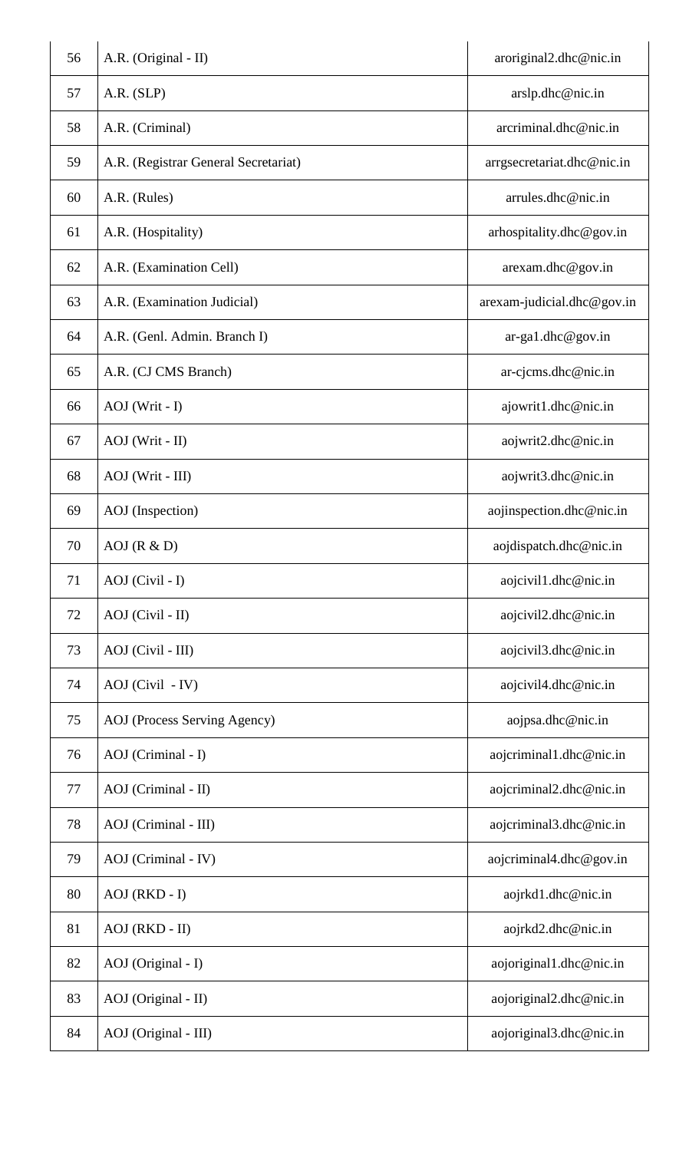| 56 | A.R. (Original - II)                 | aroriginal2.dhc@nic.in     |
|----|--------------------------------------|----------------------------|
| 57 | A.R. (SLP)                           | arslp.dhc@nic.in           |
| 58 | A.R. (Criminal)                      | arcriminal.dhc@nic.in      |
| 59 | A.R. (Registrar General Secretariat) | arrgsecretariat.dhc@nic.in |
| 60 | A.R. (Rules)                         | arrules.dhc@nic.in         |
| 61 | A.R. (Hospitality)                   | arhospitality.dhc@gov.in   |
| 62 | A.R. (Examination Cell)              | arexam.dhc@gov.in          |
| 63 | A.R. (Examination Judicial)          | arexam-judicial.dhc@gov.in |
| 64 | A.R. (Genl. Admin. Branch I)         | $ar-ga1.dhc@gov.in$        |
| 65 | A.R. (CJ CMS Branch)                 | ar-cjcms.dhc@nic.in        |
| 66 | AOJ (Writ - I)                       | ajowrit1.dhc@nic.in        |
| 67 | AOJ (Writ - II)                      | aojwrit2.dhc@nic.in        |
| 68 | AOJ (Writ - III)                     | aojwrit3.dhc@nic.in        |
| 69 | AOJ (Inspection)                     | aojinspection.dhc@nic.in   |
| 70 | AOJ(R & D)                           | aojdispatch.dhc@nic.in     |
| 71 | AOJ (Civil - I)                      | aojcivil1.dhc@nic.in       |
| 72 | AOJ (Civil - II)                     | aojcivil2.dhc@nic.in       |
| 73 | AOJ (Civil - III)                    | aojcivil3.dhc@nic.in       |
| 74 | AOJ (Civil - IV)                     | aojcivil4.dhc@nic.in       |
| 75 | AOJ (Process Serving Agency)         | aojpsa.dhc@nic.in          |
| 76 | AOJ (Criminal - I)                   | aojcriminal1.dhc@nic.in    |
| 77 | AOJ (Criminal - II)                  | aojcriminal2.dhc@nic.in    |
| 78 | AOJ (Criminal - III)                 | aojcriminal3.dhc@nic.in    |
| 79 | AOJ (Criminal - IV)                  | aojcriminal4.dhc@gov.in    |
| 80 | $AOJ (RKD - I)$                      | aojrkd1.dhc@nic.in         |
| 81 | AOJ (RKD - II)                       | aojrkd2.dhc@nic.in         |
| 82 | AOJ (Original - I)                   | aojoriginal1.dhc@nic.in    |
| 83 | AOJ (Original - II)                  | aojoriginal2.dhc@nic.in    |
| 84 | AOJ (Original - III)                 | aojoriginal3.dhc@nic.in    |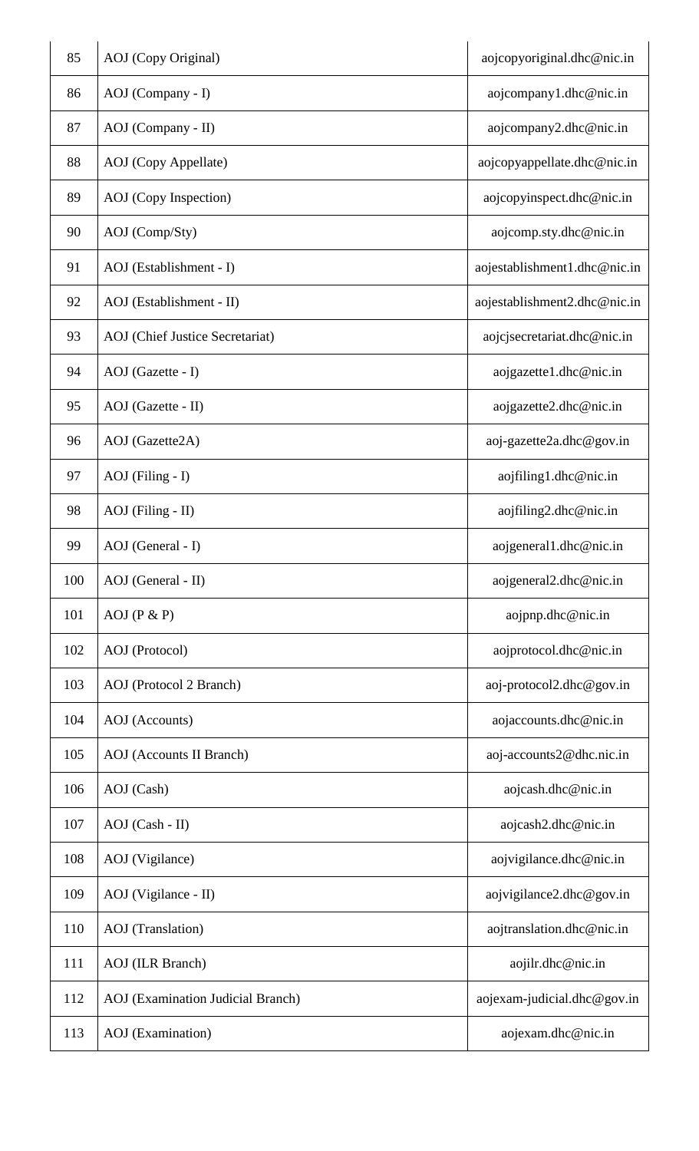| 85  | AOJ (Copy Original)                      | aojcopyoriginal.dhc@nic.in   |
|-----|------------------------------------------|------------------------------|
| 86  | AOJ (Company - I)                        | aojcompany1.dhc@nic.in       |
| 87  | AOJ (Company - II)                       | aojcompany2.dhc@nic.in       |
| 88  | AOJ (Copy Appellate)                     | aojcopyappellate.dhc@nic.in  |
| 89  | AOJ (Copy Inspection)                    | aojcopyinspect.dhc@nic.in    |
| 90  | AOJ (Comp/Sty)                           | aojcomp.sty.dhc@nic.in       |
| 91  | AOJ (Establishment - I)                  | aojestablishment1.dhc@nic.in |
| 92  | AOJ (Establishment - II)                 | aojestablishment2.dhc@nic.in |
| 93  | AOJ (Chief Justice Secretariat)          | aojcjsecretariat.dhc@nic.in  |
| 94  | AOJ (Gazette - I)                        | aojgazette1.dhc@nic.in       |
| 95  | AOJ (Gazette - II)                       | aojgazette2.dhc@nic.in       |
| 96  | AOJ (Gazette2A)                          | aoj-gazette2a.dhc@gov.in     |
| 97  | $AOJ$ (Filing - I)                       | aojfiling1.dhc@nic.in        |
| 98  | AOJ (Filing - II)                        | $a$ ojfiling2.dhc@nic.in     |
| 99  | AOJ (General - I)                        | aojgeneral1.dhc@nic.in       |
| 100 | AOJ (General - II)                       | aojgeneral2.dhc@nic.in       |
| 101 | $AOJ$ ( $P & P$ )                        | aojpnp.dhc@nic.in            |
| 102 | AOJ (Protocol)                           | aojprotocol.dhc@nic.in       |
| 103 | AOJ (Protocol 2 Branch)                  | aoj-protocol2.dhc@gov.in     |
| 104 | AOJ (Accounts)                           | aojaccounts.dhc@nic.in       |
| 105 | AOJ (Accounts II Branch)                 | aoj-accounts2@dhc.nic.in     |
| 106 | AOJ (Cash)                               | aojcash.dhc@nic.in           |
| 107 | AOJ (Cash - II)                          | aojcash2.dhc@nic.in          |
| 108 | AOJ (Vigilance)                          | aojvigilance.dhc@nic.in      |
| 109 | AOJ (Vigilance - II)                     | aojvigilance2.dhc@gov.in     |
| 110 | AOJ (Translation)                        | aojtranslation.dhc@nic.in    |
| 111 | <b>AOJ</b> (ILR Branch)                  | aojilr.dhc@nic.in            |
| 112 | <b>AOJ</b> (Examination Judicial Branch) | aojexam-judicial.dhc@gov.in  |
| 113 | <b>AOJ</b> (Examination)                 | aojexam.dhc@nic.in           |